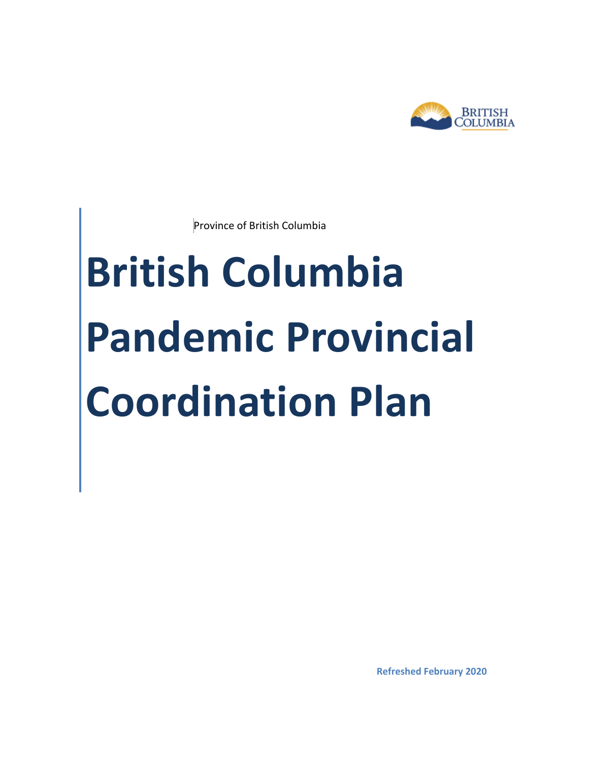

Province of British Columbia

# **British Columbia Pandemic Provincial Coordination Plan**

**Refreshed February 2020**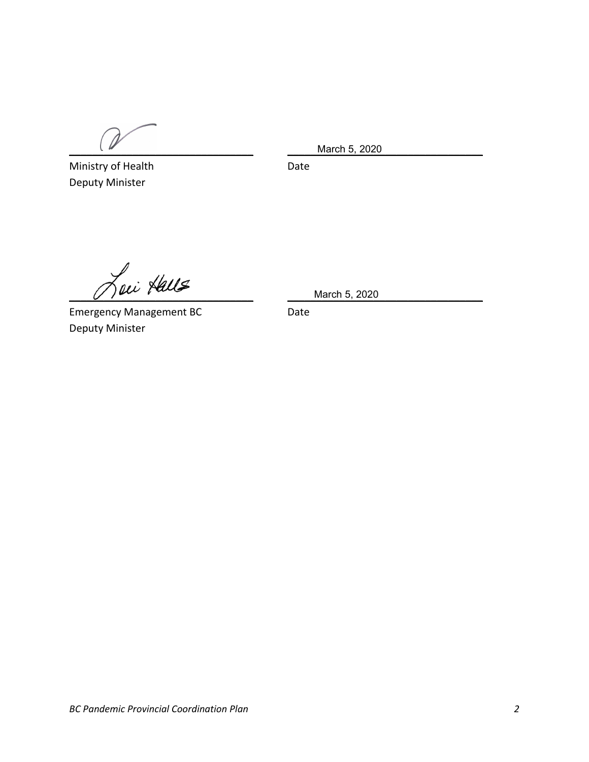Ministry of Health Date Deputy Minister

\_\_\_\_\_\_\_\_\_\_\_\_\_\_\_\_\_\_\_\_\_\_\_\_\_\_\_\_\_\_\_\_ \_\_\_\_\_\_\_\_\_\_\_\_\_\_\_\_\_\_\_\_\_\_\_\_\_\_\_\_\_\_\_\_\_\_ March 5, 2020

 $\frac{1}{2}$  March 5, 2020

Emergency Management BC **Date** Deputy Minister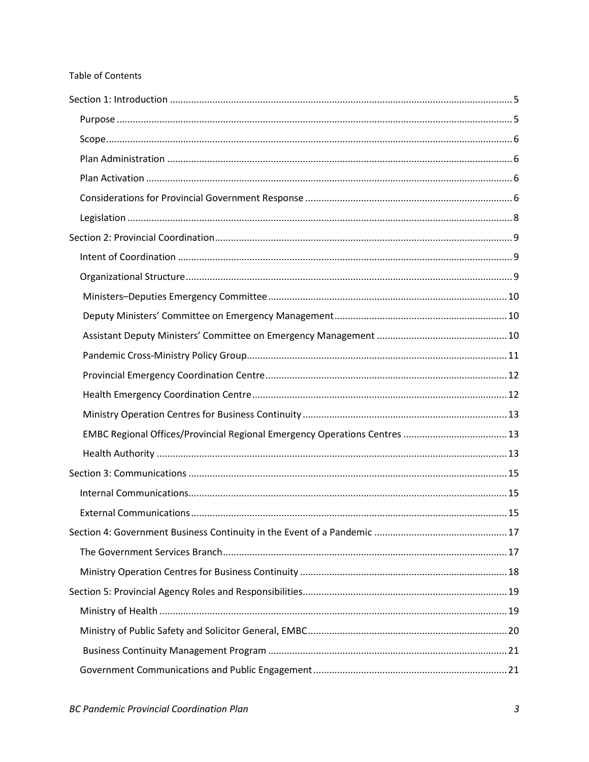#### Table of Contents

| EMBC Regional Offices/Provincial Regional Emergency Operations Centres  13 |  |
|----------------------------------------------------------------------------|--|
|                                                                            |  |
|                                                                            |  |
|                                                                            |  |
|                                                                            |  |
|                                                                            |  |
|                                                                            |  |
|                                                                            |  |
|                                                                            |  |
|                                                                            |  |
|                                                                            |  |
|                                                                            |  |
|                                                                            |  |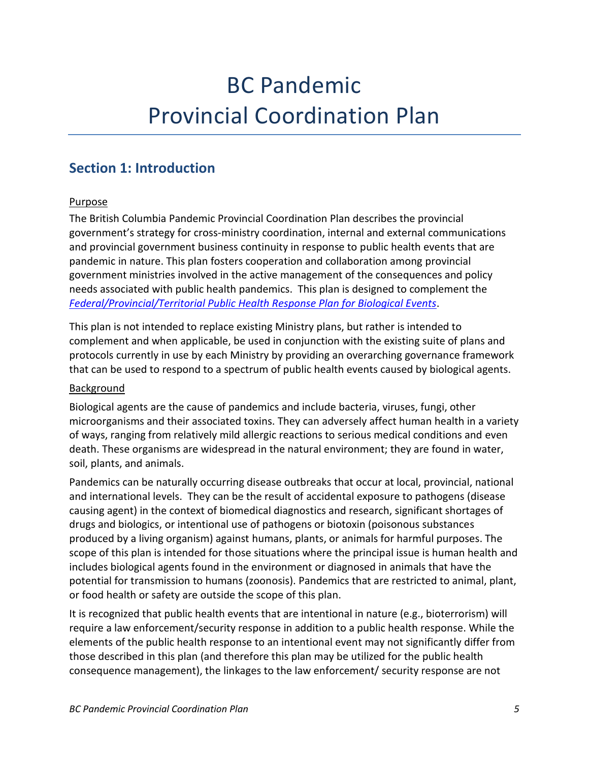## BC Pandemic Provincial Coordination Plan

## <span id="page-4-1"></span><span id="page-4-0"></span>**Section 1: Introduction**

#### Purpose

The British Columbia Pandemic Provincial Coordination Plan describes the provincial government's strategy for cross-ministry coordination, internal and external communications and provincial government business continuity in response to public health events that are pandemic in nature. This plan fosters cooperation and collaboration among provincial government ministries involved in the active management of the consequences and policy needs associated with public health pandemics. This plan is designed to complement the *[Federal/Provincial/Territorial Public Health Response Plan for Biological Events](https://www.canada.ca/en/public-health/services/emergency-preparedness/public-health-response-plan-biological-events.html)*.

This plan is not intended to replace existing Ministry plans, but rather is intended to complement and when applicable, be used in conjunction with the existing suite of plans and protocols currently in use by each Ministry by providing an overarching governance framework that can be used to respond to a spectrum of public health events caused by biological agents.

#### Background

Biological agents are the cause of pandemics and include bacteria, viruses, fungi, other microorganisms and their associated toxins. They can adversely affect human health in a variety of ways, ranging from relatively mild allergic reactions to serious medical conditions and even death. These organisms are widespread in the natural environment; they are found in water, soil, plants, and animals.

Pandemics can be naturally occurring disease outbreaks that occur at local, provincial, national and international levels. They can be the result of accidental exposure to pathogens (disease causing agent) in the context of biomedical diagnostics and research, significant shortages of drugs and biologics, or intentional use of pathogens or biotoxin (poisonous substances produced by a living organism) against humans, plants, or animals for harmful purposes. The scope of this plan is intended for those situations where the principal issue is human health and includes biological agents found in the environment or diagnosed in animals that have the potential for transmission to humans (zoonosis). Pandemics that are restricted to animal, plant, or food health or safety are outside the scope of this plan.

It is recognized that public health events that are intentional in nature (e.g., bioterrorism) will require a law enforcement/security response in addition to a public health response. While the elements of the public health response to an intentional event may not significantly differ from those described in this plan (and therefore this plan may be utilized for the public health consequence management), the linkages to the law enforcement/ security response are not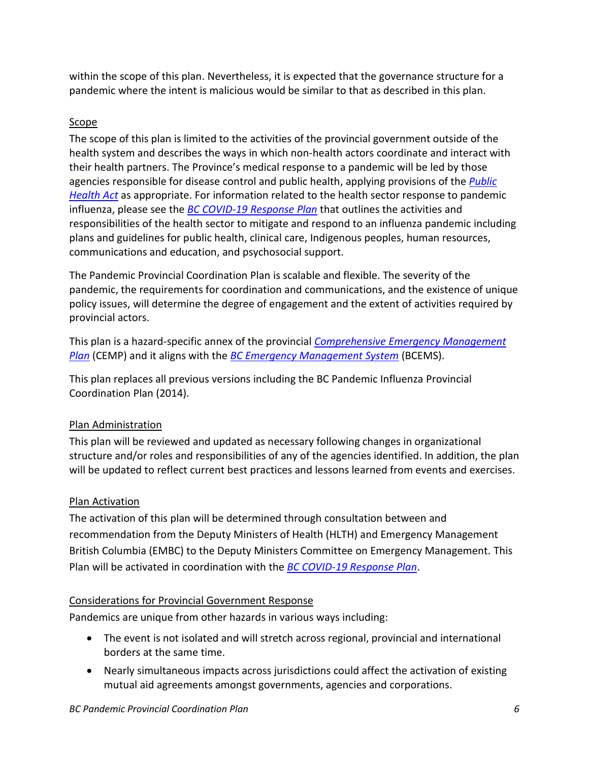within the scope of this plan. Nevertheless, it is expected that the governance structure for a pandemic where the intent is malicious would be similar to that as described in this plan.

#### <span id="page-5-0"></span>Scope

The scope of this plan is limited to the activities of the provincial government outside of the health system and describes the ways in which non-health actors coordinate and interact with their health partners. The Province's medical response to a pandemic will be led by those agencies responsible for disease control and public health, applying provisions of the *[Public](http://www.bclaws.ca/civix/document/id/complete/statreg/08028_01)  [Health Act](http://www.bclaws.ca/civix/document/id/complete/statreg/08028_01)* as appropriate. For information related to the health sector response to pandemic influenza, please see the *BC COVID-19 [Response Plan](https://www2.gov.bc.ca/gov/content/health/about-bc-s-health-care-system/office-of-the-provincial-health-officer/current-health-topics/pandemic-influenza)* that outlines the activities and responsibilities of the health sector to mitigate and respond to an influenza pandemic including plans and guidelines for public health, clinical care, Indigenous peoples, human resources, communications and education, and psychosocial support.

The Pandemic Provincial Coordination Plan is scalable and flexible. The severity of the pandemic, the requirements for coordination and communications, and the existence of unique policy issues, will determine the degree of engagement and the extent of activities required by provincial actors.

This plan is a hazard-specific annex of the provincial *[Comprehensive Emergency Management](https://www2.gov.bc.ca/gov/content/safety/emergency-preparedness-response-recovery/emergency-management-bc/provincial-emergency-planning/provincial-emergency-planning-cemp)  [Plan](https://www2.gov.bc.ca/gov/content/safety/emergency-preparedness-response-recovery/emergency-management-bc/provincial-emergency-planning/provincial-emergency-planning-cemp)* (CEMP) and it aligns with the *[BC Emergency Management System](https://www2.gov.bc.ca/assets/gov/public-safety-and-emergency-services/emergency-preparedness-response-recovery/embc/bcems/bcems_guide_2016_final_fillable.pdf)* (BCEMS).

This plan replaces all previous versions including the BC Pandemic Influenza Provincial Coordination Plan (2014).

#### <span id="page-5-1"></span>Plan Administration

This plan will be reviewed and updated as necessary following changes in organizational structure and/or roles and responsibilities of any of the agencies identified. In addition, the plan will be updated to reflect current best practices and lessons learned from events and exercises.

#### <span id="page-5-2"></span>Plan Activation

The activation of this plan will be determined through consultation between and recommendation from the Deputy Ministers of Health (HLTH) and Emergency Management British Columbia (EMBC) to the Deputy Ministers Committee on Emergency Management. This Plan will be activated in coordination with the *[BC COVID-19 Response Plan](https://www2.gov.bc.ca/gov/content/health/about-bc-s-health-care-system/office-of-the-provincial-health-officer/current-health-topics/pandemic-influenza)*.

#### <span id="page-5-3"></span>Considerations for Provincial Government Response

Pandemics are unique from other hazards in various ways including:

- The event is not isolated and will stretch across regional, provincial and international borders at the same time.
- Nearly simultaneous impacts across jurisdictions could affect the activation of existing mutual aid agreements amongst governments, agencies and corporations.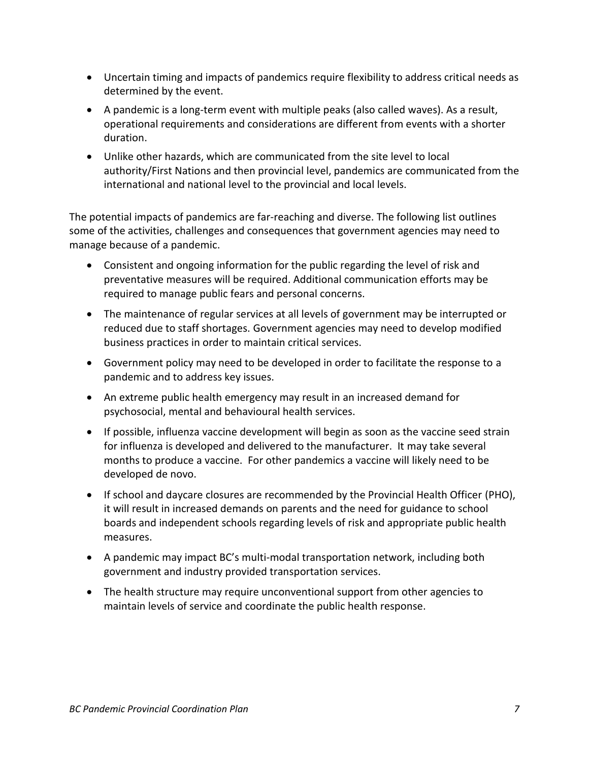- Uncertain timing and impacts of pandemics require flexibility to address critical needs as determined by the event.
- A pandemic is a long-term event with multiple peaks (also called waves). As a result, operational requirements and considerations are different from events with a shorter duration.
- Unlike other hazards, which are communicated from the site level to local authority/First Nations and then provincial level, pandemics are communicated from the international and national level to the provincial and local levels.

The potential impacts of pandemics are far-reaching and diverse. The following list outlines some of the activities, challenges and consequences that government agencies may need to manage because of a pandemic.

- Consistent and ongoing information for the public regarding the level of risk and preventative measures will be required. Additional communication efforts may be required to manage public fears and personal concerns.
- The maintenance of regular services at all levels of government may be interrupted or reduced due to staff shortages. Government agencies may need to develop modified business practices in order to maintain critical services.
- Government policy may need to be developed in order to facilitate the response to a pandemic and to address key issues.
- An extreme public health emergency may result in an increased demand for psychosocial, mental and behavioural health services.
- If possible, influenza vaccine development will begin as soon as the vaccine seed strain for influenza is developed and delivered to the manufacturer. It may take several months to produce a vaccine. For other pandemics a vaccine will likely need to be developed de novo.
- If school and daycare closures are recommended by the Provincial Health Officer (PHO), it will result in increased demands on parents and the need for guidance to school boards and independent schools regarding levels of risk and appropriate public health measures.
- A pandemic may impact BC's multi-modal transportation network, including both government and industry provided transportation services.
- The health structure may require unconventional support from other agencies to maintain levels of service and coordinate the public health response.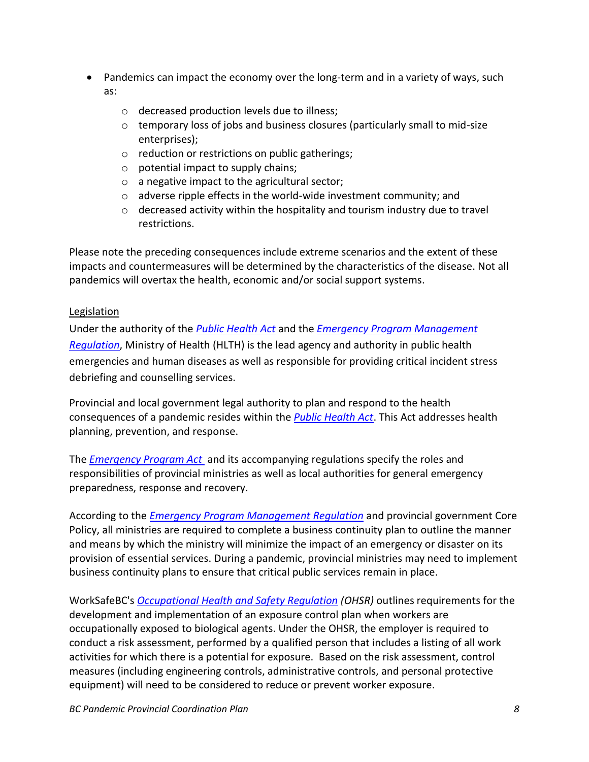- Pandemics can impact the economy over the long-term and in a variety of ways, such as:
	- o decreased production levels due to illness;
	- o temporary loss of jobs and business closures (particularly small to mid-size enterprises);
	- o reduction or restrictions on public gatherings;
	- $\circ$  potential impact to supply chains;
	- o a negative impact to the agricultural sector;
	- o adverse ripple effects in the world-wide investment community; and
	- $\circ$  decreased activity within the hospitality and tourism industry due to travel restrictions.

Please note the preceding consequences include extreme scenarios and the extent of these impacts and countermeasures will be determined by the characteristics of the disease. Not all pandemics will overtax the health, economic and/or social support systems.

#### <span id="page-7-0"></span>Legislation

Under the authority of the *[Public Health Act](http://www.bclaws.ca/civix/document/id/complete/statreg/08028_01)* and the *[Emergency Program Management](http://www.bclaws.ca/civix/document/id/complete/statreg/477_94)  [Regulation](http://www.bclaws.ca/civix/document/id/complete/statreg/477_94)*, Ministry of Health (HLTH) is the lead agency and authority in public health emergencies and human diseases as well as responsible for providing critical incident stress debriefing and counselling services.

Provincial and local government legal authority to plan and respond to the health consequences of a pandemic resides within the *[Public Health Act](http://www.bclaws.ca/civix/document/id/complete/statreg/08028_01)*. This Act addresses health planning, prevention, and response.

The *[Emergency Program Act](http://www.bclaws.ca/Recon/document/freeside/--%20E%20--/Emergency%20Program%20Act%20%20RSBC%201996%20%20c.%20111/00_96111_01.xml)* and its accompanying regulations specify the roles and responsibilities of provincial ministries as well as local authorities for general emergency preparedness, response and recovery.

According to the *[Emergency Program Management Regulation](http://www.bclaws.ca/Recon/document/freeside/--%20E%20--/Emergency%20Program%20Act%20%20RSBC%201996%20%20c.%20111/05_Regulations/11_477_94.xml)* and provincial government Core Policy, all ministries are required to complete a business continuity plan to outline the manner and means by which the ministry will minimize the impact of an emergency or disaster on its provision of essential services. During a pandemic, provincial ministries may need to implement business continuity plans to ensure that critical public services remain in place.

WorkSafeBC's *[Occupational Health and Safety Regulation](https://www.worksafebc.com/en/law-policy/occupational-health-safety/searchable-ohs-regulation/ohs-regulation) (OHSR)* outlines requirements for the development and implementation of an exposure control plan when workers are occupationally exposed to biological agents. Under the OHSR, the employer is required to conduct a risk assessment, performed by a qualified person that includes a listing of all work activities for which there is a potential for exposure. Based on the risk assessment, control measures (including engineering controls, administrative controls, and personal protective equipment) will need to be considered to reduce or prevent worker exposure.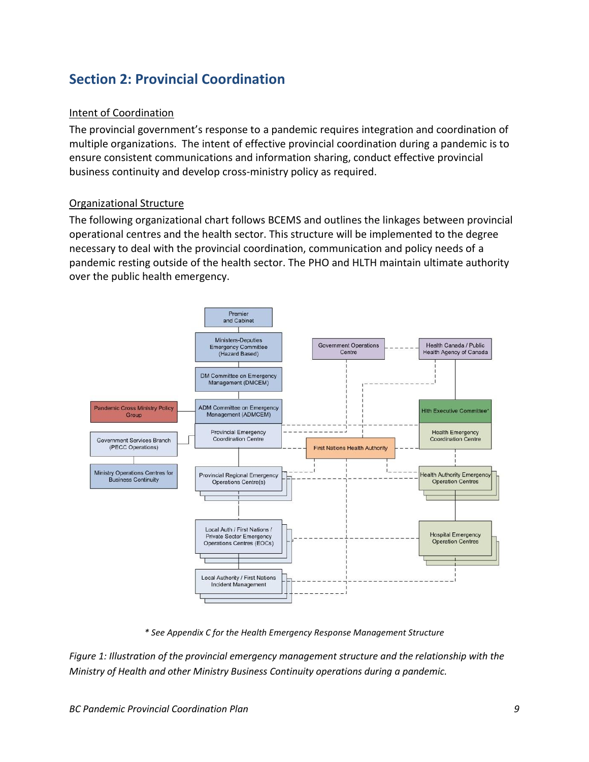## <span id="page-8-1"></span><span id="page-8-0"></span>**Section 2: Provincial Coordination**

#### Intent of Coordination

The provincial government's response to a pandemic requires integration and coordination of multiple organizations. The intent of effective provincial coordination during a pandemic is to ensure consistent communications and information sharing, conduct effective provincial business continuity and develop cross-ministry policy as required.

#### <span id="page-8-2"></span>Organizational Structure

The following organizational chart follows BCEMS and outlines the linkages between provincial operational centres and the health sector. This structure will be implemented to the degree necessary to deal with the provincial coordination, communication and policy needs of a pandemic resting outside of the health sector. The PHO and HLTH maintain ultimate authority over the public health emergency.



*\* See Appendix C for the Health Emergency Response Management Structure*

*Figure 1: Illustration of the provincial emergency management structure and the relationship with the Ministry of Health and other Ministry Business Continuity operations during a pandemic.*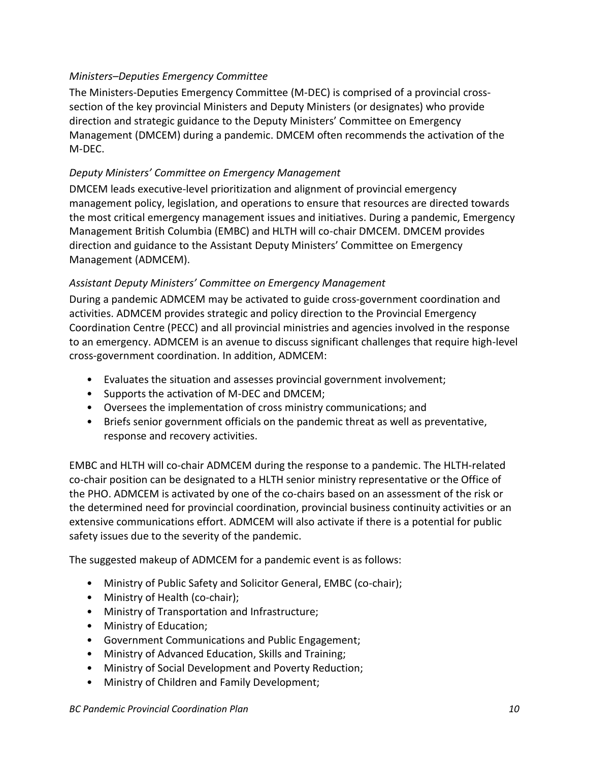#### <span id="page-9-0"></span>*Ministers–Deputies Emergency Committee*

The Ministers-Deputies Emergency Committee (M-DEC) is comprised of a provincial crosssection of the key provincial Ministers and Deputy Ministers (or designates) who provide direction and strategic guidance to the Deputy Ministers' Committee on Emergency Management (DMCEM) during a pandemic. DMCEM often recommends the activation of the M-DEC.

#### <span id="page-9-1"></span>*Deputy Ministers' Committee on Emergency Management*

DMCEM leads executive-level prioritization and alignment of provincial emergency management policy, legislation, and operations to ensure that resources are directed towards the most critical emergency management issues and initiatives. During a pandemic, Emergency Management British Columbia (EMBC) and HLTH will co-chair DMCEM. DMCEM provides direction and guidance to the Assistant Deputy Ministers' Committee on Emergency Management (ADMCEM).

#### <span id="page-9-2"></span>*Assistant Deputy Ministers' Committee on Emergency Management*

During a pandemic ADMCEM may be activated to guide cross-government coordination and activities. ADMCEM provides strategic and policy direction to the Provincial Emergency Coordination Centre (PECC) and all provincial ministries and agencies involved in the response to an emergency. ADMCEM is an avenue to discuss significant challenges that require high-level cross-government coordination. In addition, ADMCEM:

- Evaluates the situation and assesses provincial government involvement;
- Supports the activation of M-DEC and DMCEM;
- Oversees the implementation of cross ministry communications; and
- Briefs senior government officials on the pandemic threat as well as preventative, response and recovery activities.

EMBC and HLTH will co-chair ADMCEM during the response to a pandemic. The HLTH-related co-chair position can be designated to a HLTH senior ministry representative or the Office of the PHO. ADMCEM is activated by one of the co-chairs based on an assessment of the risk or the determined need for provincial coordination, provincial business continuity activities or an extensive communications effort. ADMCEM will also activate if there is a potential for public safety issues due to the severity of the pandemic.

The suggested makeup of ADMCEM for a pandemic event is as follows:

- Ministry of Public Safety and Solicitor General, EMBC (co-chair);
- Ministry of Health (co-chair);
- Ministry of Transportation and Infrastructure;
- Ministry of Education;
- Government Communications and Public Engagement;
- Ministry of Advanced Education, Skills and Training;
- Ministry of Social Development and Poverty Reduction;
- Ministry of Children and Family Development;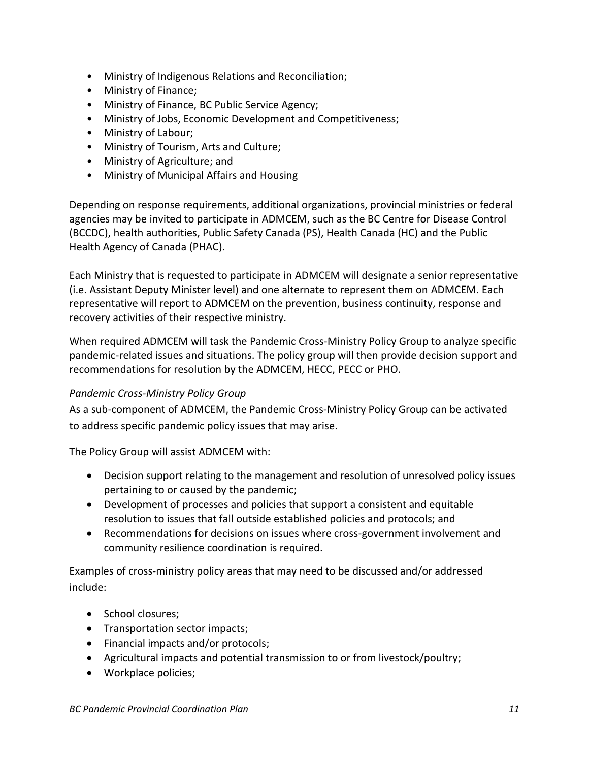- Ministry of Indigenous Relations and Reconciliation;
- Ministry of Finance;
- Ministry of Finance, BC Public Service Agency;
- Ministry of Jobs, Economic Development and Competitiveness;
- Ministry of Labour;
- Ministry of Tourism, Arts and Culture;
- Ministry of Agriculture; and
- Ministry of Municipal Affairs and Housing

Depending on response requirements, additional organizations, provincial ministries or federal agencies may be invited to participate in ADMCEM, such as the BC Centre for Disease Control (BCCDC), health authorities, Public Safety Canada (PS), Health Canada (HC) and the Public Health Agency of Canada (PHAC).

Each Ministry that is requested to participate in ADMCEM will designate a senior representative (i.e. Assistant Deputy Minister level) and one alternate to represent them on ADMCEM. Each representative will report to ADMCEM on the prevention, business continuity, response and recovery activities of their respective ministry.

When required ADMCEM will task the Pandemic Cross-Ministry Policy Group to analyze specific pandemic-related issues and situations. The policy group will then provide decision support and recommendations for resolution by the ADMCEM, HECC, PECC or PHO.

#### <span id="page-10-0"></span>*Pandemic Cross-Ministry Policy Group*

As a sub-component of ADMCEM, the Pandemic Cross-Ministry Policy Group can be activated to address specific pandemic policy issues that may arise.

The Policy Group will assist ADMCEM with:

- Decision support relating to the management and resolution of unresolved policy issues pertaining to or caused by the pandemic;
- Development of processes and policies that support a consistent and equitable resolution to issues that fall outside established policies and protocols; and
- Recommendations for decisions on issues where cross-government involvement and community resilience coordination is required.

Examples of cross-ministry policy areas that may need to be discussed and/or addressed include:

- School closures;
- Transportation sector impacts;
- Financial impacts and/or protocols;
- Agricultural impacts and potential transmission to or from livestock/poultry;
- Workplace policies;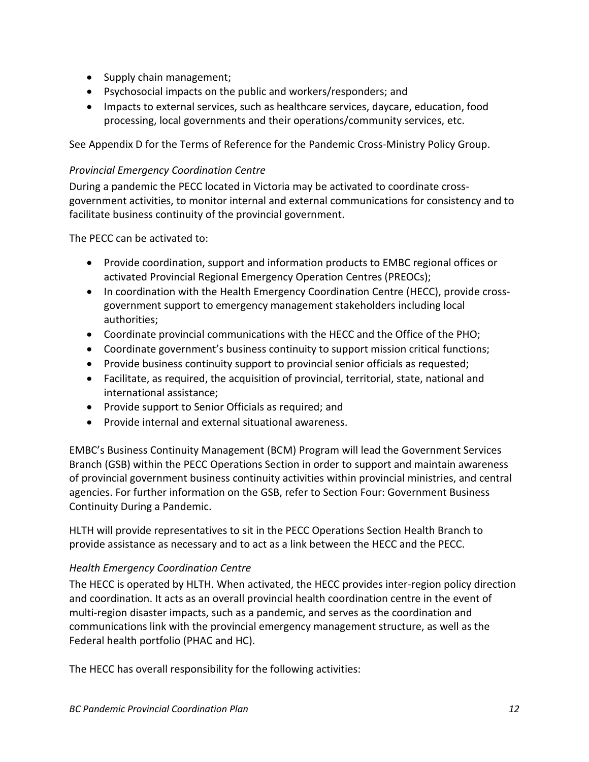- Supply chain management;
- Psychosocial impacts on the public and workers/responders; and
- Impacts to external services, such as healthcare services, daycare, education, food processing, local governments and their operations/community services, etc.

See Appendix D for the Terms of Reference for the Pandemic Cross-Ministry Policy Group.

#### <span id="page-11-0"></span>*Provincial Emergency Coordination Centre*

During a pandemic the PECC located in Victoria may be activated to coordinate crossgovernment activities, to monitor internal and external communications for consistency and to facilitate business continuity of the provincial government.

The PECC can be activated to:

- Provide coordination, support and information products to EMBC regional offices or activated Provincial Regional Emergency Operation Centres (PREOCs);
- In coordination with the Health Emergency Coordination Centre (HECC), provide crossgovernment support to emergency management stakeholders including local authorities;
- Coordinate provincial communications with the HECC and the Office of the PHO;
- Coordinate government's business continuity to support mission critical functions;
- Provide business continuity support to provincial senior officials as requested;
- Facilitate, as required, the acquisition of provincial, territorial, state, national and international assistance;
- Provide support to Senior Officials as required; and
- Provide internal and external situational awareness.

EMBC's Business Continuity Management (BCM) Program will lead the Government Services Branch (GSB) within the PECC Operations Section in order to support and maintain awareness of provincial government business continuity activities within provincial ministries, and central agencies. For further information on the GSB, refer to Section Four: Government Business Continuity During a Pandemic.

HLTH will provide representatives to sit in the PECC Operations Section Health Branch to provide assistance as necessary and to act as a link between the HECC and the PECC.

#### <span id="page-11-1"></span>*Health Emergency Coordination Centre*

The HECC is operated by HLTH. When activated, the HECC provides inter-region policy direction and coordination. It acts as an overall provincial health coordination centre in the event of multi-region disaster impacts, such as a pandemic, and serves as the coordination and communications link with the provincial emergency management structure, as well as the Federal health portfolio (PHAC and HC).

The HECC has overall responsibility for the following activities: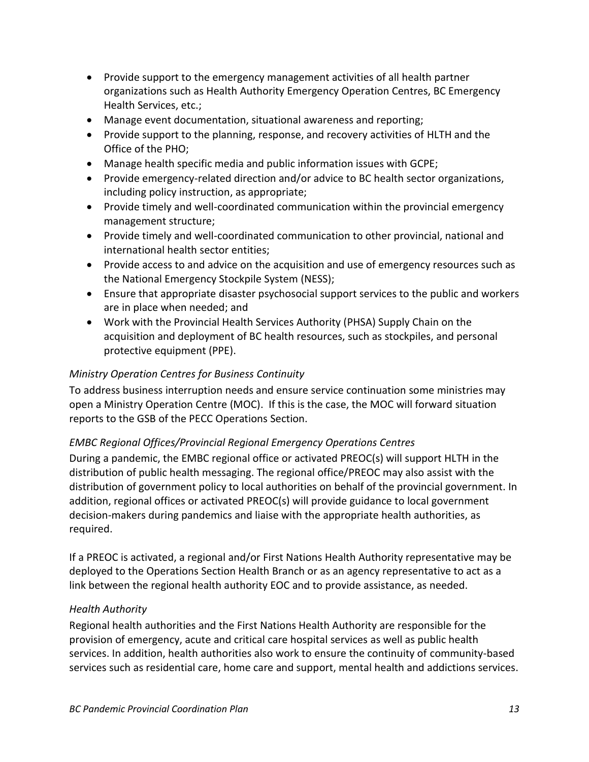- Provide support to the emergency management activities of all health partner organizations such as Health Authority Emergency Operation Centres, BC Emergency Health Services, etc.;
- Manage event documentation, situational awareness and reporting;
- Provide support to the planning, response, and recovery activities of HLTH and the Office of the PHO;
- Manage health specific media and public information issues with GCPE;
- Provide emergency-related direction and/or advice to BC health sector organizations, including policy instruction, as appropriate;
- Provide timely and well-coordinated communication within the provincial emergency management structure;
- Provide timely and well-coordinated communication to other provincial, national and international health sector entities;
- Provide access to and advice on the acquisition and use of emergency resources such as the National Emergency Stockpile System (NESS);
- Ensure that appropriate disaster psychosocial support services to the public and workers are in place when needed; and
- Work with the Provincial Health Services Authority (PHSA) Supply Chain on the acquisition and deployment of BC health resources, such as stockpiles, and personal protective equipment (PPE).

#### <span id="page-12-0"></span>*Ministry Operation Centres for Business Continuity*

To address business interruption needs and ensure service continuation some ministries may open a Ministry Operation Centre (MOC). If this is the case, the MOC will forward situation reports to the GSB of the PECC Operations Section.

#### <span id="page-12-1"></span>*EMBC Regional Offices/Provincial Regional Emergency Operations Centres*

During a pandemic, the EMBC regional office or activated PREOC(s) will support HLTH in the distribution of public health messaging. The regional office/PREOC may also assist with the distribution of government policy to local authorities on behalf of the provincial government. In addition, regional offices or activated PREOC(s) will provide guidance to local government decision-makers during pandemics and liaise with the appropriate health authorities, as required.

If a PREOC is activated, a regional and/or First Nations Health Authority representative may be deployed to the Operations Section Health Branch or as an agency representative to act as a link between the regional health authority EOC and to provide assistance, as needed.

#### <span id="page-12-2"></span>*Health Authority*

Regional health authorities and the First Nations Health Authority are responsible for the provision of emergency, acute and critical care hospital services as well as public health services. In addition, health authorities also work to ensure the continuity of community-based services such as residential care, home care and support, mental health and addictions services.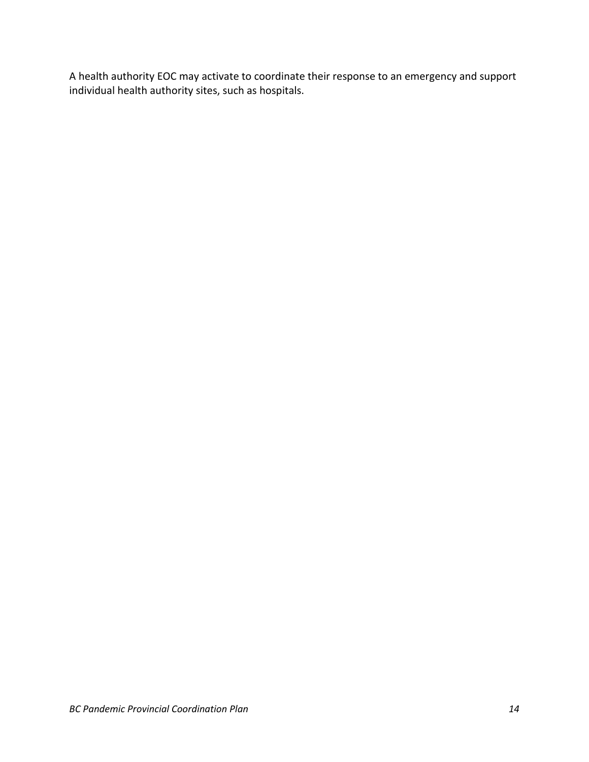A health authority EOC may activate to coordinate their response to an emergency and support individual health authority sites, such as hospitals.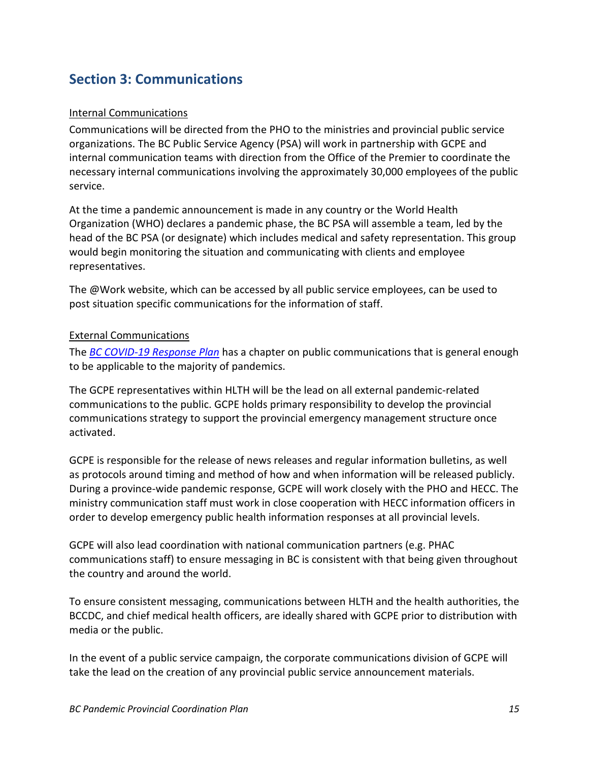## <span id="page-14-1"></span><span id="page-14-0"></span>**Section 3: Communications**

#### Internal Communications

Communications will be directed from the PHO to the ministries and provincial public service organizations. The BC Public Service Agency (PSA) will work in partnership with GCPE and internal communication teams with direction from the Office of the Premier to coordinate the necessary internal communications involving the approximately 30,000 employees of the public service.

At the time a pandemic announcement is made in any country or the World Health Organization (WHO) declares a pandemic phase, the BC PSA will assemble a team, led by the head of the BC PSA (or designate) which includes medical and safety representation. This group would begin monitoring the situation and communicating with clients and employee representatives.

The @Work website, which can be accessed by all public service employees, can be used to post situation specific communications for the information of staff.

#### <span id="page-14-2"></span>External Communications

The *[BC COVID-19 Response Plan](https://www2.gov.bc.ca/gov/content/health/about-bc-s-health-care-system/office-of-the-provincial-health-officer/current-health-topics/pandemic-influenza)* has a chapter on public communications that is general enough to be applicable to the majority of pandemics.

The GCPE representatives within HLTH will be the lead on all external pandemic-related communications to the public. GCPE holds primary responsibility to develop the provincial communications strategy to support the provincial emergency management structure once activated.

GCPE is responsible for the release of news releases and regular information bulletins, as well as protocols around timing and method of how and when information will be released publicly. During a province-wide pandemic response, GCPE will work closely with the PHO and HECC. The ministry communication staff must work in close cooperation with HECC information officers in order to develop emergency public health information responses at all provincial levels.

GCPE will also lead coordination with national communication partners (e.g. PHAC communications staff) to ensure messaging in BC is consistent with that being given throughout the country and around the world.

To ensure consistent messaging, communications between HLTH and the health authorities, the BCCDC, and chief medical health officers, are ideally shared with GCPE prior to distribution with media or the public.

In the event of a public service campaign, the corporate communications division of GCPE will take the lead on the creation of any provincial public service announcement materials.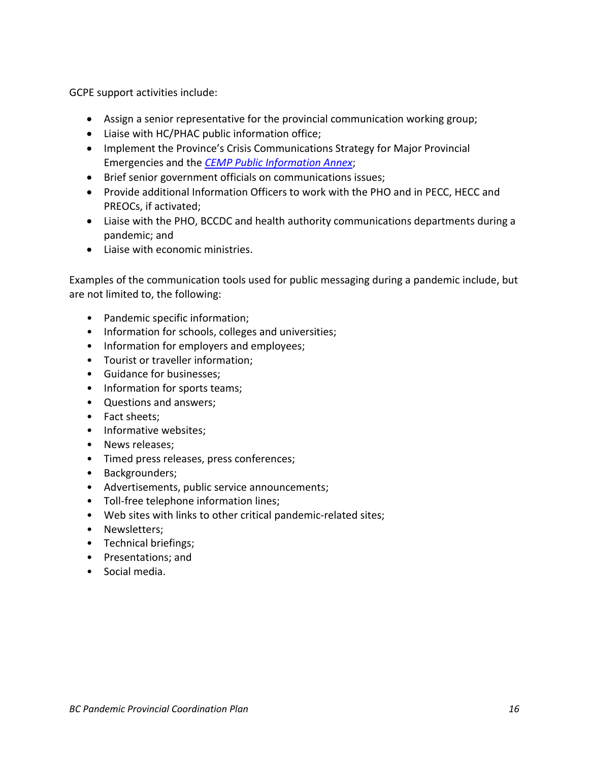GCPE support activities include:

- Assign a senior representative for the provincial communication working group;
- Liaise with HC/PHAC public information office;
- Implement the Province's Crisis Communications Strategy for Major Provincial Emergencies and the *[CEMP Public Information Annex](https://www2.gov.bc.ca/assets/gov/public-safety-and-emergency-services/emergency-preparedness-response-recovery/provincial-emergency-planning/public-information-annex.pdf)*;
- Brief senior government officials on communications issues;
- Provide additional Information Officers to work with the PHO and in PECC, HECC and PREOCs, if activated;
- Liaise with the PHO, BCCDC and health authority communications departments during a pandemic; and
- Liaise with economic ministries.

Examples of the communication tools used for public messaging during a pandemic include, but are not limited to, the following:

- Pandemic specific information;
- Information for schools, colleges and universities;
- Information for employers and employees;
- Tourist or traveller information;
- Guidance for businesses;
- Information for sports teams;
- Questions and answers;
- Fact sheets;
- Informative websites;
- News releases;
- Timed press releases, press conferences;
- Backgrounders;
- Advertisements, public service announcements;
- Toll-free telephone information lines;
- Web sites with links to other critical pandemic-related sites;
- Newsletters;
- Technical briefings;
- Presentations; and
- Social media.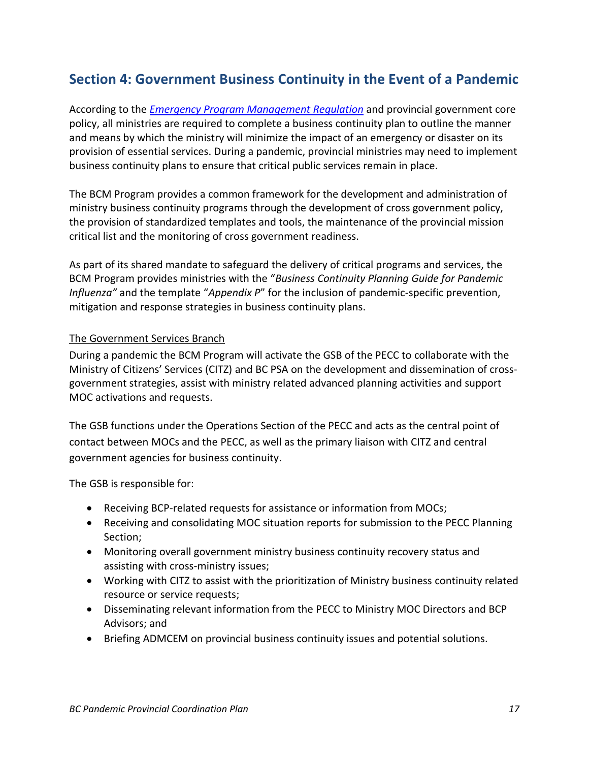## <span id="page-16-0"></span>**Section 4: Government Business Continuity in the Event of a Pandemic**

According to the *[Emergency Program Management Regulation](http://www.bclaws.ca/civix/document/id/complete/statreg/477_94)* and provincial government core policy, all ministries are required to complete a business continuity plan to outline the manner and means by which the ministry will minimize the impact of an emergency or disaster on its provision of essential services. During a pandemic, provincial ministries may need to implement business continuity plans to ensure that critical public services remain in place.

The BCM Program provides a common framework for the development and administration of ministry business continuity programs through the development of cross government policy, the provision of standardized templates and tools, the maintenance of the provincial mission critical list and the monitoring of cross government readiness.

As part of its shared mandate to safeguard the delivery of critical programs and services, the BCM Program provides ministries with the "*Business Continuity Planning Guide for Pandemic Influenza"* and the template "*Appendix P*" for the inclusion of pandemic-specific prevention, mitigation and response strategies in business continuity plans.

#### <span id="page-16-1"></span>The Government Services Branch

During a pandemic the BCM Program will activate the GSB of the PECC to collaborate with the Ministry of Citizens' Services (CITZ) and BC PSA on the development and dissemination of crossgovernment strategies, assist with ministry related advanced planning activities and support MOC activations and requests.

The GSB functions under the Operations Section of the PECC and acts as the central point of contact between MOCs and the PECC, as well as the primary liaison with CITZ and central government agencies for business continuity.

The GSB is responsible for:

- Receiving BCP-related requests for assistance or information from MOCs;
- Receiving and consolidating MOC situation reports for submission to the PECC Planning Section;
- Monitoring overall government ministry business continuity recovery status and assisting with cross-ministry issues;
- Working with CITZ to assist with the prioritization of Ministry business continuity related resource or service requests;
- Disseminating relevant information from the PECC to Ministry MOC Directors and BCP Advisors; and
- Briefing ADMCEM on provincial business continuity issues and potential solutions.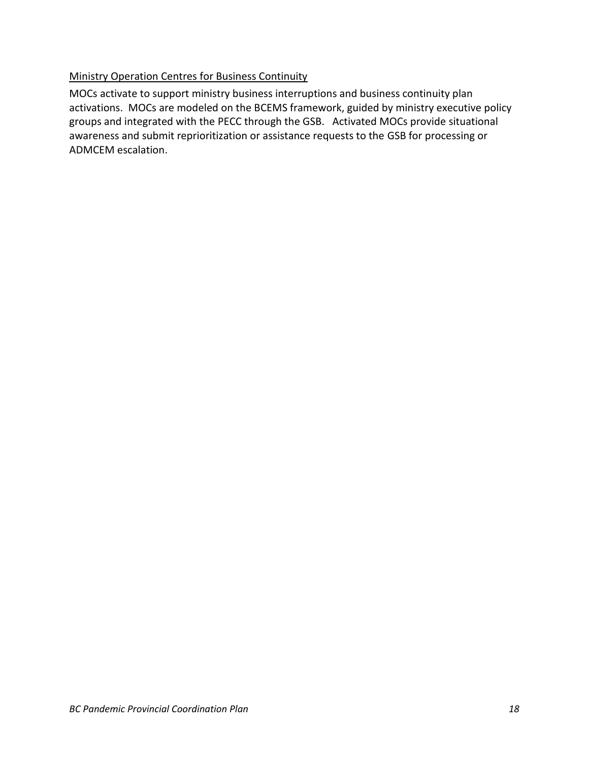#### <span id="page-17-0"></span>Ministry Operation Centres for Business Continuity

MOCs activate to support ministry business interruptions and business continuity plan activations. MOCs are modeled on the BCEMS framework, guided by ministry executive policy groups and integrated with the PECC through the GSB. Activated MOCs provide situational awareness and submit reprioritization or assistance requests to the GSB for processing or ADMCEM escalation.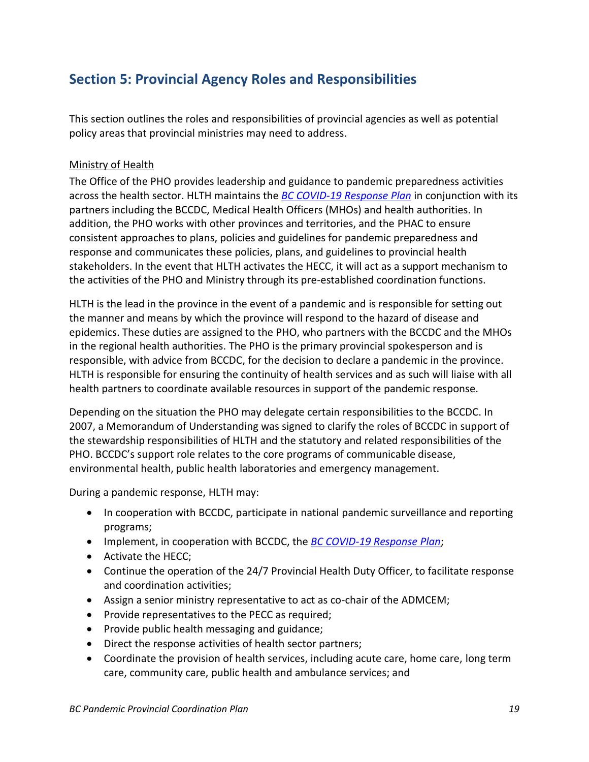## <span id="page-18-0"></span>**Section 5: Provincial Agency Roles and Responsibilities**

This section outlines the roles and responsibilities of provincial agencies as well as potential policy areas that provincial ministries may need to address.

#### <span id="page-18-1"></span>Ministry of Health

The Office of the PHO provides leadership and guidance to pandemic preparedness activities across the health sector. HLTH maintains the *[BC COVID-19 Response Plan](https://www2.gov.bc.ca/gov/content/health/about-bc-s-health-care-system/office-of-the-provincial-health-officer/current-health-topics/pandemic-influenza)* in conjunction with its partners including the BCCDC, Medical Health Officers (MHOs) and health authorities. In addition, the PHO works with other provinces and territories, and the PHAC to ensure consistent approaches to plans, policies and guidelines for pandemic preparedness and response and communicates these policies, plans, and guidelines to provincial health stakeholders. In the event that HLTH activates the HECC, it will act as a support mechanism to the activities of the PHO and Ministry through its pre-established coordination functions.

HLTH is the lead in the province in the event of a pandemic and is responsible for setting out the manner and means by which the province will respond to the hazard of disease and epidemics. These duties are assigned to the PHO, who partners with the BCCDC and the MHOs in the regional health authorities. The PHO is the primary provincial spokesperson and is responsible, with advice from BCCDC, for the decision to declare a pandemic in the province. HLTH is responsible for ensuring the continuity of health services and as such will liaise with all health partners to coordinate available resources in support of the pandemic response.

Depending on the situation the PHO may delegate certain responsibilities to the BCCDC. In 2007, a Memorandum of Understanding was signed to clarify the roles of BCCDC in support of the stewardship responsibilities of HLTH and the statutory and related responsibilities of the PHO. BCCDC's support role relates to the core programs of communicable disease, environmental health, public health laboratories and emergency management.

During a pandemic response, HLTH may:

- In cooperation with BCCDC, participate in national pandemic surveillance and reporting programs;
- Implement, in cooperation with BCCDC, the *[BC COVID-19 Response Plan](https://www2.gov.bc.ca/gov/content/health/about-bc-s-health-care-system/office-of-the-provincial-health-officer/current-health-topics/pandemic-influenza)*;
- Activate the HECC;
- Continue the operation of the 24/7 Provincial Health Duty Officer, to facilitate response and coordination activities;
- Assign a senior ministry representative to act as co-chair of the ADMCEM;
- Provide representatives to the PECC as required;
- Provide public health messaging and guidance;
- Direct the response activities of health sector partners;
- Coordinate the provision of health services, including acute care, home care, long term care, community care, public health and ambulance services; and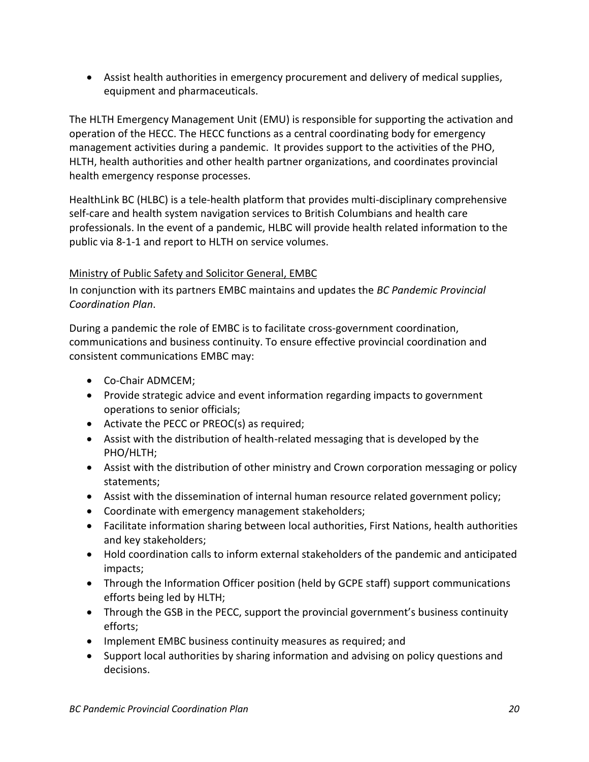• Assist health authorities in emergency procurement and delivery of medical supplies, equipment and pharmaceuticals.

The HLTH Emergency Management Unit (EMU) is responsible for supporting the activation and operation of the HECC. The HECC functions as a central coordinating body for emergency management activities during a pandemic. It provides support to the activities of the PHO, HLTH, health authorities and other health partner organizations, and coordinates provincial health emergency response processes.

HealthLink BC (HLBC) is a tele-health platform that provides multi-disciplinary comprehensive self-care and health system navigation services to British Columbians and health care professionals. In the event of a pandemic, HLBC will provide health related information to the public via 8-1-1 and report to HLTH on service volumes.

#### <span id="page-19-0"></span>Ministry of Public Safety and Solicitor General, EMBC

In conjunction with its partners EMBC maintains and updates the *BC Pandemic Provincial Coordination Plan*.

During a pandemic the role of EMBC is to facilitate cross-government coordination, communications and business continuity. To ensure effective provincial coordination and consistent communications EMBC may:

- Co-Chair ADMCEM;
- Provide strategic advice and event information regarding impacts to government operations to senior officials;
- Activate the PECC or PREOC(s) as required;
- Assist with the distribution of health-related messaging that is developed by the PHO/HLTH;
- Assist with the distribution of other ministry and Crown corporation messaging or policy statements;
- Assist with the dissemination of internal human resource related government policy;
- Coordinate with emergency management stakeholders;
- Facilitate information sharing between local authorities, First Nations, health authorities and key stakeholders;
- Hold coordination calls to inform external stakeholders of the pandemic and anticipated impacts;
- Through the Information Officer position (held by GCPE staff) support communications efforts being led by HLTH;
- Through the GSB in the PECC, support the provincial government's business continuity efforts;
- Implement EMBC business continuity measures as required; and
- Support local authorities by sharing information and advising on policy questions and decisions.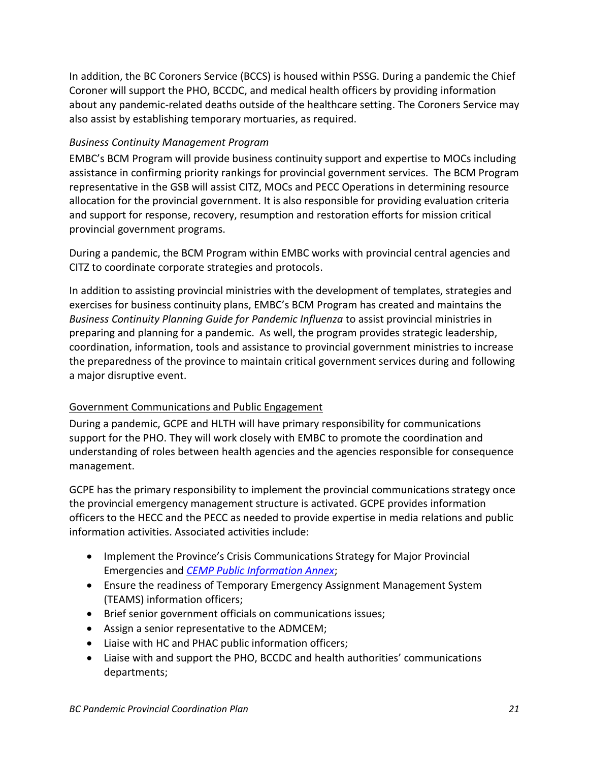In addition, the BC Coroners Service (BCCS) is housed within PSSG. During a pandemic the Chief Coroner will support the PHO, BCCDC, and medical health officers by providing information about any pandemic-related deaths outside of the healthcare setting. The Coroners Service may also assist by establishing temporary mortuaries, as required.

#### <span id="page-20-0"></span>*Business Continuity Management Program*

EMBC's BCM Program will provide business continuity support and expertise to MOCs including assistance in confirming priority rankings for provincial government services. The BCM Program representative in the GSB will assist CITZ, MOCs and PECC Operations in determining resource allocation for the provincial government. It is also responsible for providing evaluation criteria and support for response, recovery, resumption and restoration efforts for mission critical provincial government programs.

During a pandemic, the BCM Program within EMBC works with provincial central agencies and CITZ to coordinate corporate strategies and protocols.

In addition to assisting provincial ministries with the development of templates, strategies and exercises for business continuity plans, EMBC's BCM Program has created and maintains the *Business Continuity Planning Guide for Pandemic Influenza* to assist provincial ministries in preparing and planning for a pandemic. As well, the program provides strategic leadership, coordination, information, tools and assistance to provincial government ministries to increase the preparedness of the province to maintain critical government services during and following a major disruptive event.

#### <span id="page-20-1"></span>Government Communications and Public Engagement

During a pandemic, GCPE and HLTH will have primary responsibility for communications support for the PHO. They will work closely with EMBC to promote the coordination and understanding of roles between health agencies and the agencies responsible for consequence management.

GCPE has the primary responsibility to implement the provincial communications strategy once the provincial emergency management structure is activated. GCPE provides information officers to the HECC and the PECC as needed to provide expertise in media relations and public information activities. Associated activities include:

- Implement the Province's Crisis Communications Strategy for Major Provincial Emergencies and *[CEMP Public Information Annex](https://www2.gov.bc.ca/assets/gov/public-safety-and-emergency-services/emergency-preparedness-response-recovery/provincial-emergency-planning/public-information-annex.pdf)*;
- Ensure the readiness of Temporary Emergency Assignment Management System (TEAMS) information officers;
- Brief senior government officials on communications issues;
- Assign a senior representative to the ADMCEM;
- Liaise with HC and PHAC public information officers;
- Liaise with and support the PHO, BCCDC and health authorities' communications departments;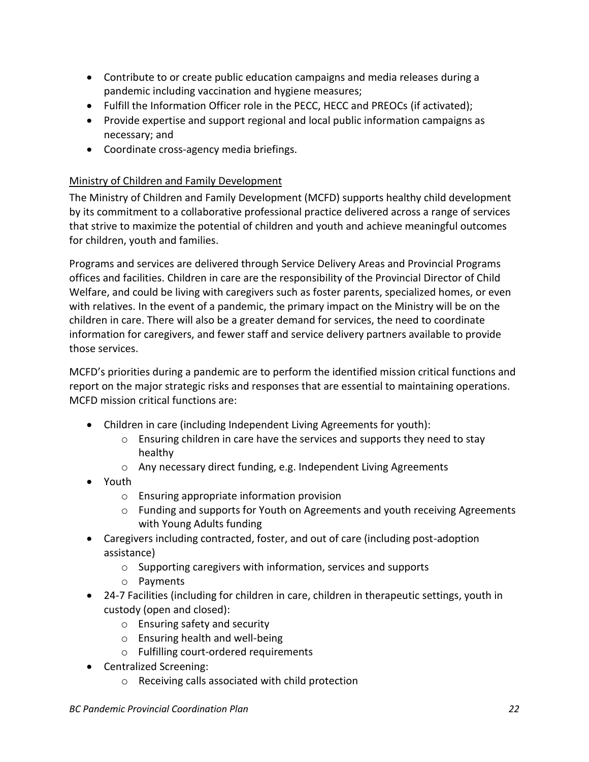- Contribute to or create public education campaigns and media releases during a pandemic including vaccination and hygiene measures;
- Fulfill the Information Officer role in the PECC, HECC and PREOCs (if activated);
- Provide expertise and support regional and local public information campaigns as necessary; and
- Coordinate cross-agency media briefings.

#### <span id="page-21-0"></span>Ministry of Children and Family Development

The Ministry of Children and Family Development (MCFD) supports healthy child development by its commitment to a collaborative professional practice delivered across a range of services that strive to maximize the potential of children and youth and achieve meaningful outcomes for children, youth and families.

Programs and services are delivered through Service Delivery Areas and Provincial Programs offices and facilities. Children in care are the responsibility of the Provincial Director of Child Welfare, and could be living with caregivers such as foster parents, specialized homes, or even with relatives. In the event of a pandemic, the primary impact on the Ministry will be on the children in care. There will also be a greater demand for services, the need to coordinate information for caregivers, and fewer staff and service delivery partners available to provide those services.

MCFD's priorities during a pandemic are to perform the identified mission critical functions and report on the major strategic risks and responses that are essential to maintaining operations. MCFD mission critical functions are:

- Children in care (including Independent Living Agreements for youth):
	- o Ensuring children in care have the services and supports they need to stay healthy
	- o Any necessary direct funding, e.g. Independent Living Agreements
- Youth
	- o Ensuring appropriate information provision
	- $\circ$  Funding and supports for Youth on Agreements and youth receiving Agreements with Young Adults funding
- Caregivers including contracted, foster, and out of care (including post-adoption assistance)
	- o Supporting caregivers with information, services and supports
	- o Payments
- 24-7 Facilities (including for children in care, children in therapeutic settings, youth in custody (open and closed):
	- o Ensuring safety and security
	- o Ensuring health and well-being
	- o Fulfilling court-ordered requirements
- Centralized Screening:
	- o Receiving calls associated with child protection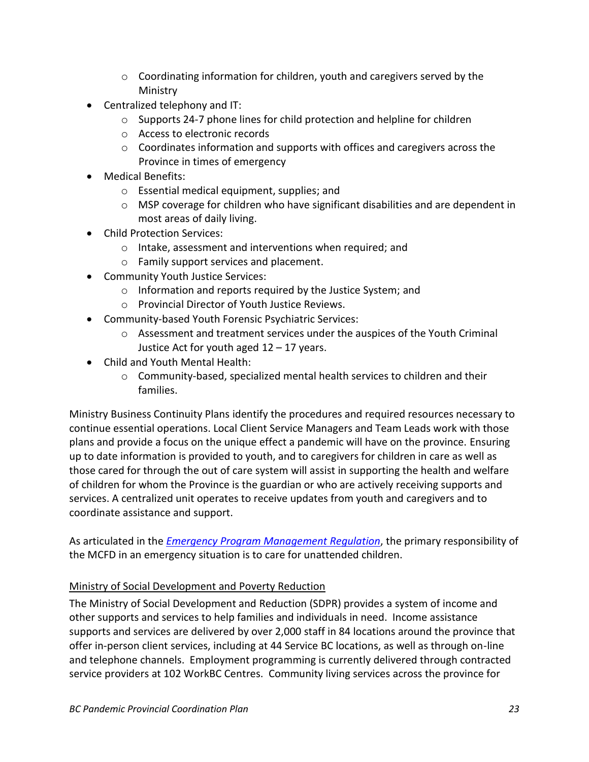- $\circ$  Coordinating information for children, youth and caregivers served by the Ministry
- Centralized telephony and IT:
	- $\circ$  Supports 24-7 phone lines for child protection and helpline for children
	- o Access to electronic records
	- o Coordinates information and supports with offices and caregivers across the Province in times of emergency
- Medical Benefits:
	- o Essential medical equipment, supplies; and
	- $\circ$  MSP coverage for children who have significant disabilities and are dependent in most areas of daily living.
- Child Protection Services:
	- o Intake, assessment and interventions when required; and
	- o Family support services and placement.
- Community Youth Justice Services:
	- o Information and reports required by the Justice System; and
	- o Provincial Director of Youth Justice Reviews.
- Community-based Youth Forensic Psychiatric Services:
	- o Assessment and treatment services under the auspices of the Youth Criminal Justice Act for youth aged 12 – 17 years.
- Child and Youth Mental Health:
	- $\circ$  Community-based, specialized mental health services to children and their families.

Ministry Business Continuity Plans identify the procedures and required resources necessary to continue essential operations. Local Client Service Managers and Team Leads work with those plans and provide a focus on the unique effect a pandemic will have on the province. Ensuring up to date information is provided to youth, and to caregivers for children in care as well as those cared for through the out of care system will assist in supporting the health and welfare of children for whom the Province is the guardian or who are actively receiving supports and services. A centralized unit operates to receive updates from youth and caregivers and to coordinate assistance and support.

As articulated in the *[Emergency Program Management Regulation](http://www.bclaws.ca/civix/document/id/complete/statreg/477_94)*, the primary responsibility of the MCFD in an emergency situation is to care for unattended children.

#### <span id="page-22-0"></span>Ministry of Social Development and Poverty Reduction

The Ministry of Social Development and Reduction (SDPR) provides a system of income and other supports and services to help families and individuals in need. Income assistance supports and services are delivered by over 2,000 staff in 84 locations around the province that offer in-person client services, including at 44 Service BC locations, as well as through on-line and telephone channels. Employment programming is currently delivered through contracted service providers at 102 WorkBC Centres. Community living services across the province for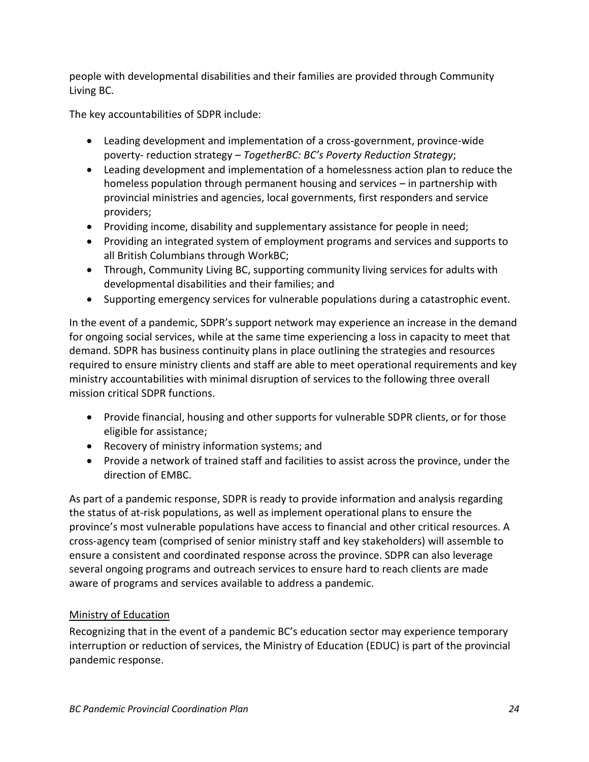people with developmental disabilities and their families are provided through Community Living BC.

The key accountabilities of SDPR include:

- Leading development and implementation of a cross-government, province-wide poverty- reduction strategy – *TogetherBC: BC's Poverty Reduction Strategy*;
- Leading development and implementation of a homelessness action plan to reduce the homeless population through permanent housing and services – in partnership with provincial ministries and agencies, local governments, first responders and service providers;
- Providing income, disability and supplementary assistance for people in need;
- Providing an integrated system of employment programs and services and supports to all British Columbians through WorkBC;
- Through, Community Living BC, supporting community living services for adults with developmental disabilities and their families; and
- Supporting emergency services for vulnerable populations during a catastrophic event.

In the event of a pandemic, SDPR's support network may experience an increase in the demand for ongoing social services, while at the same time experiencing a loss in capacity to meet that demand. SDPR has business continuity plans in place outlining the strategies and resources required to ensure ministry clients and staff are able to meet operational requirements and key ministry accountabilities with minimal disruption of services to the following three overall mission critical SDPR functions.

- Provide financial, housing and other supports for vulnerable SDPR clients, or for those eligible for assistance;
- Recovery of ministry information systems; and
- Provide a network of trained staff and facilities to assist across the province, under the direction of EMBC.

As part of a pandemic response, SDPR is ready to provide information and analysis regarding the status of at-risk populations, as well as implement operational plans to ensure the province's most vulnerable populations have access to financial and other critical resources. A cross-agency team (comprised of senior ministry staff and key stakeholders) will assemble to ensure a consistent and coordinated response across the province. SDPR can also leverage several ongoing programs and outreach services to ensure hard to reach clients are made aware of programs and services available to address a pandemic.

#### <span id="page-23-0"></span>Ministry of Education

Recognizing that in the event of a pandemic BC's education sector may experience temporary interruption or reduction of services, the Ministry of Education (EDUC) is part of the provincial pandemic response.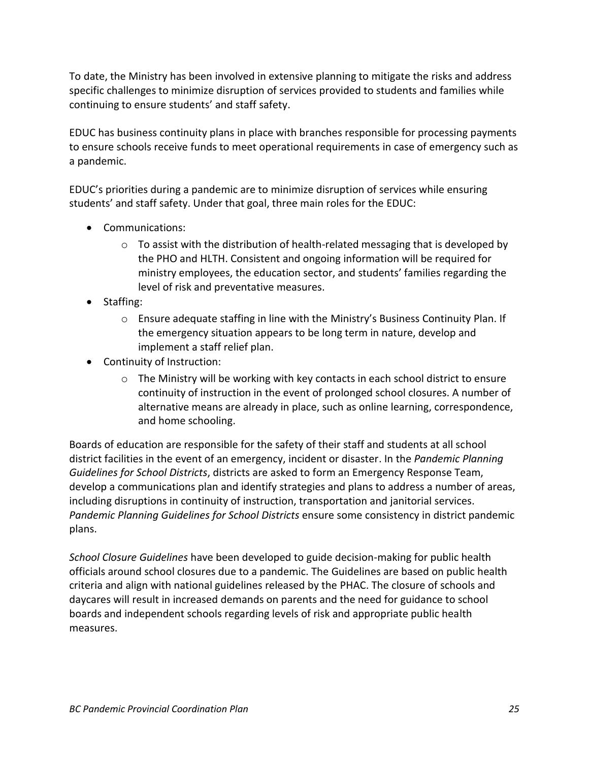To date, the Ministry has been involved in extensive planning to mitigate the risks and address specific challenges to minimize disruption of services provided to students and families while continuing to ensure students' and staff safety.

EDUC has business continuity plans in place with branches responsible for processing payments to ensure schools receive funds to meet operational requirements in case of emergency such as a pandemic.

EDUC's priorities during a pandemic are to minimize disruption of services while ensuring students' and staff safety. Under that goal, three main roles for the EDUC:

- Communications:
	- $\circ$  To assist with the distribution of health-related messaging that is developed by the PHO and HLTH. Consistent and ongoing information will be required for ministry employees, the education sector, and students' families regarding the level of risk and preventative measures.
- Staffing:
	- $\circ$  Ensure adequate staffing in line with the Ministry's Business Continuity Plan. If the emergency situation appears to be long term in nature, develop and implement a staff relief plan.
- Continuity of Instruction:
	- $\circ$  The Ministry will be working with key contacts in each school district to ensure continuity of instruction in the event of prolonged school closures. A number of alternative means are already in place, such as online learning, correspondence, and home schooling.

Boards of education are responsible for the safety of their staff and students at all school district facilities in the event of an emergency, incident or disaster. In the *Pandemic Planning Guidelines for School Districts*, districts are asked to form an Emergency Response Team, develop a communications plan and identify strategies and plans to address a number of areas, including disruptions in continuity of instruction, transportation and janitorial services. *Pandemic Planning Guidelines for School Districts* ensure some consistency in district pandemic plans.

*School Closure Guidelines* have been developed to guide decision-making for public health officials around school closures due to a pandemic. The Guidelines are based on public health criteria and align with national guidelines released by the PHAC. The closure of schools and daycares will result in increased demands on parents and the need for guidance to school boards and independent schools regarding levels of risk and appropriate public health measures.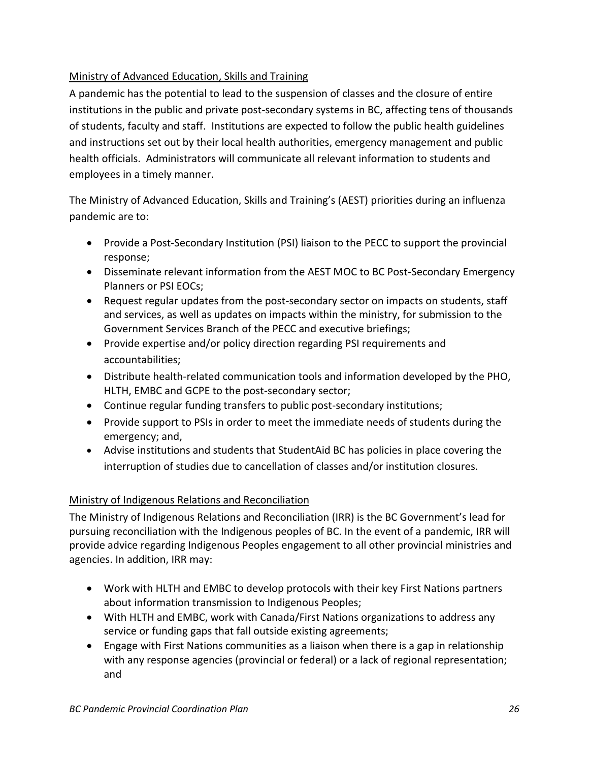#### <span id="page-25-0"></span>Ministry of Advanced Education, Skills and Training

A pandemic has the potential to lead to the suspension of classes and the closure of entire institutions in the public and private post-secondary systems in BC, affecting tens of thousands of students, faculty and staff. Institutions are expected to follow the public health guidelines and instructions set out by their local health authorities, emergency management and public health officials. Administrators will communicate all relevant information to students and employees in a timely manner.

The Ministry of Advanced Education, Skills and Training's (AEST) priorities during an influenza pandemic are to:

- Provide a Post-Secondary Institution (PSI) liaison to the PECC to support the provincial response;
- Disseminate relevant information from the AEST MOC to BC Post-Secondary Emergency Planners or PSI EOCs;
- Request regular updates from the post-secondary sector on impacts on students, staff and services, as well as updates on impacts within the ministry, for submission to the Government Services Branch of the PECC and executive briefings;
- Provide expertise and/or policy direction regarding PSI requirements and accountabilities;
- Distribute health-related communication tools and information developed by the PHO, HLTH, EMBC and GCPE to the post-secondary sector;
- Continue regular funding transfers to public post-secondary institutions;
- Provide support to PSIs in order to meet the immediate needs of students during the emergency; and,
- Advise institutions and students that StudentAid BC has policies in place covering the interruption of studies due to cancellation of classes and/or institution closures.

#### <span id="page-25-1"></span>Ministry of Indigenous Relations and Reconciliation

The Ministry of Indigenous Relations and Reconciliation (IRR) is the BC Government's lead for pursuing reconciliation with the Indigenous peoples of BC. In the event of a pandemic, IRR will provide advice regarding Indigenous Peoples engagement to all other provincial ministries and agencies. In addition, IRR may:

- Work with HLTH and EMBC to develop protocols with their key First Nations partners about information transmission to Indigenous Peoples;
- With HLTH and EMBC, work with Canada/First Nations organizations to address any service or funding gaps that fall outside existing agreements;
- Engage with First Nations communities as a liaison when there is a gap in relationship with any response agencies (provincial or federal) or a lack of regional representation; and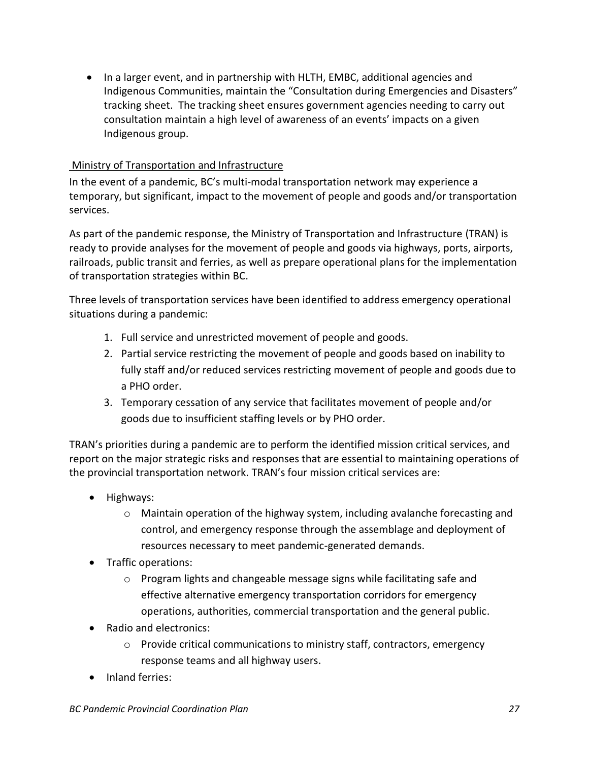• In a larger event, and in partnership with HLTH, EMBC, additional agencies and Indigenous Communities, maintain the "Consultation during Emergencies and Disasters" tracking sheet. The tracking sheet ensures government agencies needing to carry out consultation maintain a high level of awareness of an events' impacts on a given Indigenous group.

#### <span id="page-26-0"></span>Ministry of Transportation and Infrastructure

In the event of a pandemic, BC's multi-modal transportation network may experience a temporary, but significant, impact to the movement of people and goods and/or transportation services.

As part of the pandemic response, the Ministry of Transportation and Infrastructure (TRAN) is ready to provide analyses for the movement of people and goods via highways, ports, airports, railroads, public transit and ferries, as well as prepare operational plans for the implementation of transportation strategies within BC.

Three levels of transportation services have been identified to address emergency operational situations during a pandemic:

- 1. Full service and unrestricted movement of people and goods.
- 2. Partial service restricting the movement of people and goods based on inability to fully staff and/or reduced services restricting movement of people and goods due to a PHO order.
- 3. Temporary cessation of any service that facilitates movement of people and/or goods due to insufficient staffing levels or by PHO order.

TRAN's priorities during a pandemic are to perform the identified mission critical services, and report on the major strategic risks and responses that are essential to maintaining operations of the provincial transportation network. TRAN's four mission critical services are:

- Highways:
	- o Maintain operation of the highway system, including avalanche forecasting and control, and emergency response through the assemblage and deployment of resources necessary to meet pandemic-generated demands.
- Traffic operations:
	- o Program lights and changeable message signs while facilitating safe and effective alternative emergency transportation corridors for emergency operations, authorities, commercial transportation and the general public.
- Radio and electronics:
	- $\circ$  Provide critical communications to ministry staff, contractors, emergency response teams and all highway users.
- Inland ferries: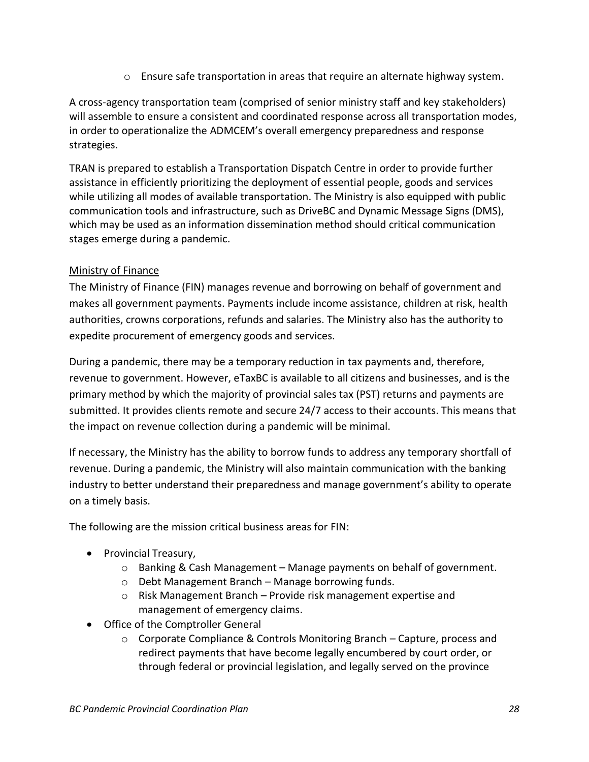o Ensure safe transportation in areas that require an alternate highway system.

A cross-agency transportation team (comprised of senior ministry staff and key stakeholders) will assemble to ensure a consistent and coordinated response across all transportation modes, in order to operationalize the ADMCEM's overall emergency preparedness and response strategies.

TRAN is prepared to establish a Transportation Dispatch Centre in order to provide further assistance in efficiently prioritizing the deployment of essential people, goods and services while utilizing all modes of available transportation. The Ministry is also equipped with public communication tools and infrastructure, such as DriveBC and Dynamic Message Signs (DMS), which may be used as an information dissemination method should critical communication stages emerge during a pandemic.

#### <span id="page-27-0"></span>Ministry of Finance

The Ministry of Finance (FIN) manages revenue and borrowing on behalf of government and makes all government payments. Payments include income assistance, children at risk, health authorities, crowns corporations, refunds and salaries. The Ministry also has the authority to expedite procurement of emergency goods and services.

During a pandemic, there may be a temporary reduction in tax payments and, therefore, revenue to government. However, eTaxBC is available to all citizens and businesses, and is the primary method by which the majority of provincial sales tax (PST) returns and payments are submitted. It provides clients remote and secure 24/7 access to their accounts. This means that the impact on revenue collection during a pandemic will be minimal.

If necessary, the Ministry has the ability to borrow funds to address any temporary shortfall of revenue. During a pandemic, the Ministry will also maintain communication with the banking industry to better understand their preparedness and manage government's ability to operate on a timely basis.

The following are the mission critical business areas for FIN:

- Provincial Treasury,
	- $\circ$  Banking & Cash Management Manage payments on behalf of government.
	- o Debt Management Branch Manage borrowing funds.
	- $\circ$  Risk Management Branch Provide risk management expertise and management of emergency claims.
- Office of the Comptroller General
	- $\circ$  Corporate Compliance & Controls Monitoring Branch Capture, process and redirect payments that have become legally encumbered by court order, or through federal or provincial legislation, and legally served on the province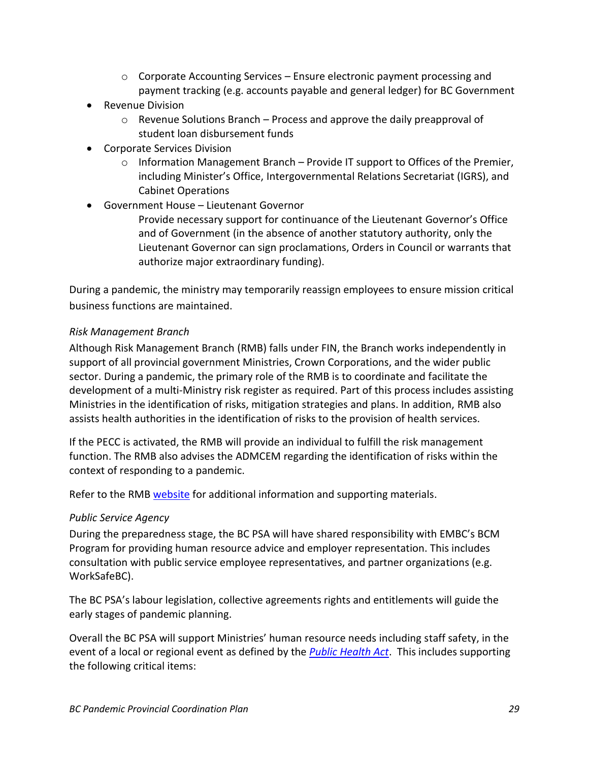- $\circ$  Corporate Accounting Services Ensure electronic payment processing and payment tracking (e.g. accounts payable and general ledger) for BC Government
- Revenue Division
	- $\circ$  Revenue Solutions Branch Process and approve the daily preapproval of student loan disbursement funds
- Corporate Services Division
	- $\circ$  Information Management Branch Provide IT support to Offices of the Premier, including Minister's Office, Intergovernmental Relations Secretariat (IGRS), and Cabinet Operations
- Government House Lieutenant Governor

Provide necessary support for continuance of the Lieutenant Governor's Office and of Government (in the absence of another statutory authority, only the Lieutenant Governor can sign proclamations, Orders in Council or warrants that authorize major extraordinary funding).

During a pandemic, the ministry may temporarily reassign employees to ensure mission critical business functions are maintained.

#### <span id="page-28-0"></span>*Risk Management Branch*

Although Risk Management Branch (RMB) falls under FIN, the Branch works independently in support of all provincial government Ministries, Crown Corporations, and the wider public sector. During a pandemic, the primary role of the RMB is to coordinate and facilitate the development of a multi-Ministry risk register as required. Part of this process includes assisting Ministries in the identification of risks, mitigation strategies and plans. In addition, RMB also assists health authorities in the identification of risks to the provision of health services.

If the PECC is activated, the RMB will provide an individual to fulfill the risk management function. The RMB also advises the ADMCEM regarding the identification of risks within the context of responding to a pandemic.

Refer to the RMB [website](https://www2.gov.bc.ca/gov/content/governments/services-for-government/internal-corporate-services/risk-management) for additional information and supporting materials.

#### <span id="page-28-1"></span>*Public Service Agency*

During the preparedness stage, the BC PSA will have shared responsibility with EMBC's BCM Program for providing human resource advice and employer representation. This includes consultation with public service employee representatives, and partner organizations (e.g. WorkSafeBC).

The BC PSA's labour legislation, collective agreements rights and entitlements will guide the early stages of pandemic planning.

Overall the BC PSA will support Ministries' human resource needs including staff safety, in the event of a local or regional event as defined by the *[Public Health Act](http://www.bclaws.ca/civix/document/id/complete/statreg/08028_01)*. This includes supporting the following critical items: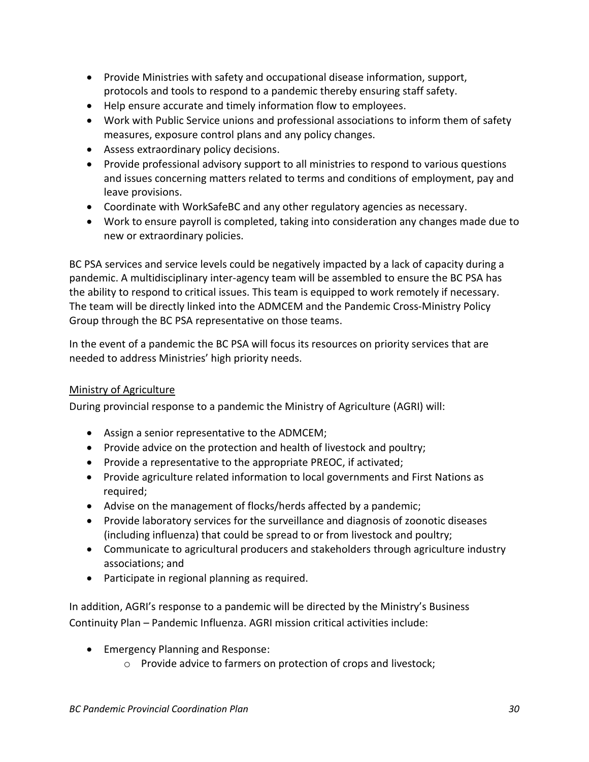- Provide Ministries with safety and occupational disease information, support, protocols and tools to respond to a pandemic thereby ensuring staff safety.
- Help ensure accurate and timely information flow to employees.
- Work with Public Service unions and professional associations to inform them of safety measures, exposure control plans and any policy changes.
- Assess extraordinary policy decisions.
- Provide professional advisory support to all ministries to respond to various questions and issues concerning matters related to terms and conditions of employment, pay and leave provisions.
- Coordinate with WorkSafeBC and any other regulatory agencies as necessary.
- Work to ensure payroll is completed, taking into consideration any changes made due to new or extraordinary policies.

BC PSA services and service levels could be negatively impacted by a lack of capacity during a pandemic. A multidisciplinary inter-agency team will be assembled to ensure the BC PSA has the ability to respond to critical issues. This team is equipped to work remotely if necessary. The team will be directly linked into the ADMCEM and the Pandemic Cross-Ministry Policy Group through the BC PSA representative on those teams.

In the event of a pandemic the BC PSA will focus its resources on priority services that are needed to address Ministries' high priority needs.

#### <span id="page-29-0"></span>Ministry of Agriculture

During provincial response to a pandemic the Ministry of Agriculture (AGRI) will:

- Assign a senior representative to the ADMCEM;
- Provide advice on the protection and health of livestock and poultry;
- Provide a representative to the appropriate PREOC, if activated;
- Provide agriculture related information to local governments and First Nations as required;
- Advise on the management of flocks/herds affected by a pandemic;
- Provide laboratory services for the surveillance and diagnosis of zoonotic diseases (including influenza) that could be spread to or from livestock and poultry;
- Communicate to agricultural producers and stakeholders through agriculture industry associations; and
- Participate in regional planning as required.

In addition, AGRI's response to a pandemic will be directed by the Ministry's Business Continuity Plan – Pandemic Influenza. AGRI mission critical activities include:

- Emergency Planning and Response:
	- o Provide advice to farmers on protection of crops and livestock;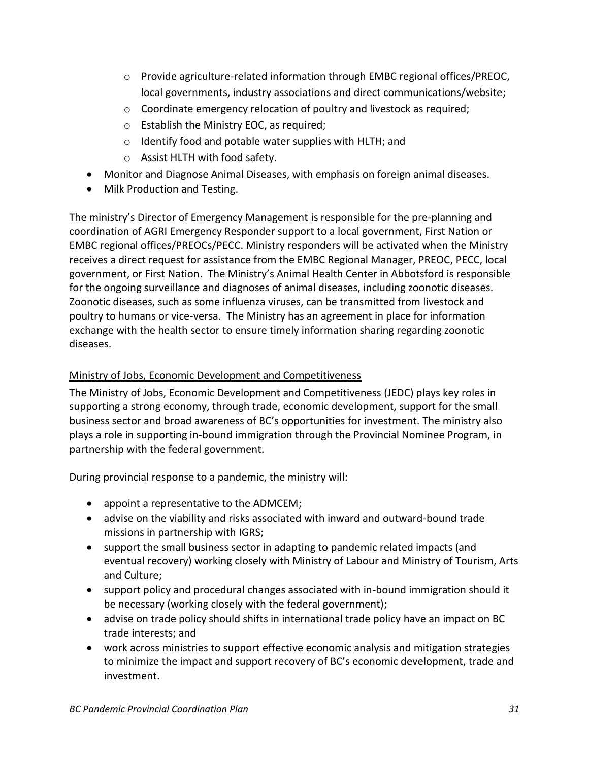- o Provide agriculture-related information through EMBC regional offices/PREOC, local governments, industry associations and direct communications/website;
- o Coordinate emergency relocation of poultry and livestock as required;
- o Establish the Ministry EOC, as required;
- o Identify food and potable water supplies with HLTH; and
- o Assist HLTH with food safety.
- Monitor and Diagnose Animal Diseases, with emphasis on foreign animal diseases.
- Milk Production and Testing.

The ministry's Director of Emergency Management is responsible for the pre-planning and coordination of AGRI Emergency Responder support to a local government, First Nation or EMBC regional offices/PREOCs/PECC. Ministry responders will be activated when the Ministry receives a direct request for assistance from the EMBC Regional Manager, PREOC, PECC, local government, or First Nation. The Ministry's Animal Health Center in Abbotsford is responsible for the ongoing surveillance and diagnoses of animal diseases, including zoonotic diseases. Zoonotic diseases, such as some influenza viruses, can be transmitted from livestock and poultry to humans or vice-versa. The Ministry has an agreement in place for information exchange with the health sector to ensure timely information sharing regarding zoonotic diseases.

#### <span id="page-30-0"></span>Ministry of Jobs, Economic Development and Competitiveness

The Ministry of Jobs, Economic Development and Competitiveness (JEDC) plays key roles in supporting a strong economy, through trade, economic development, support for the small business sector and broad awareness of BC's opportunities for investment. The ministry also plays a role in supporting in-bound immigration through the Provincial Nominee Program, in partnership with the federal government.

During provincial response to a pandemic, the ministry will:

- appoint a representative to the ADMCEM;
- advise on the viability and risks associated with inward and outward-bound trade missions in partnership with IGRS;
- support the small business sector in adapting to pandemic related impacts (and eventual recovery) working closely with Ministry of Labour and Ministry of Tourism, Arts and Culture;
- support policy and procedural changes associated with in-bound immigration should it be necessary (working closely with the federal government);
- advise on trade policy should shifts in international trade policy have an impact on BC trade interests; and
- work across ministries to support effective economic analysis and mitigation strategies to minimize the impact and support recovery of BC's economic development, trade and investment.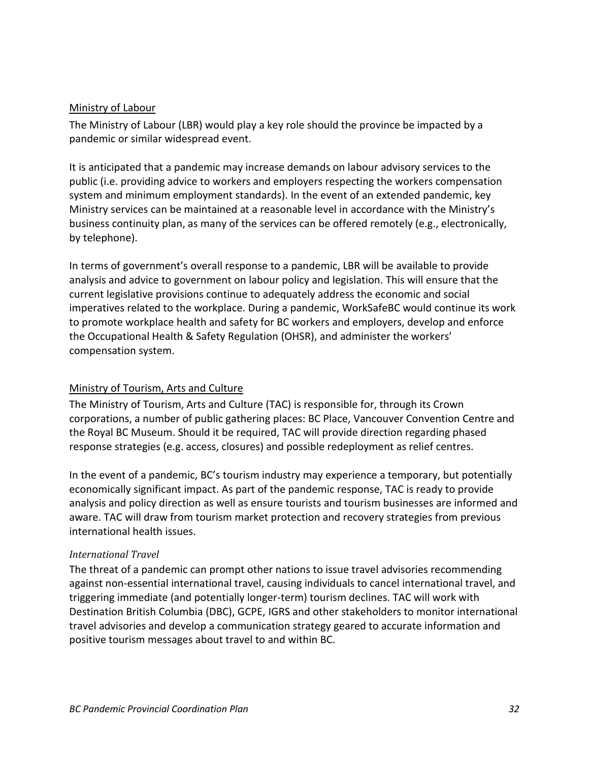#### <span id="page-31-0"></span>Ministry of Labour

The Ministry of Labour (LBR) would play a key role should the province be impacted by a pandemic or similar widespread event.

It is anticipated that a pandemic may increase demands on labour advisory services to the public (i.e. providing advice to workers and employers respecting the workers compensation system and minimum employment standards). In the event of an extended pandemic, key Ministry services can be maintained at a reasonable level in accordance with the Ministry's business continuity plan, as many of the services can be offered remotely (e.g., electronically, by telephone).

In terms of government's overall response to a pandemic, LBR will be available to provide analysis and advice to government on labour policy and legislation. This will ensure that the current legislative provisions continue to adequately address the economic and social imperatives related to the workplace. During a pandemic, WorkSafeBC would continue its work to promote workplace health and safety for BC workers and employers, develop and enforce the Occupational Health & Safety Regulation (OHSR), and administer the workers' compensation system.

#### <span id="page-31-1"></span>Ministry of Tourism, Arts and Culture

The Ministry of Tourism, Arts and Culture (TAC) is responsible for, through its Crown corporations, a number of public gathering places: BC Place, Vancouver Convention Centre and the Royal BC Museum. Should it be required, TAC will provide direction regarding phased response strategies (e.g. access, closures) and possible redeployment as relief centres.

In the event of a pandemic, BC's tourism industry may experience a temporary, but potentially economically significant impact. As part of the pandemic response, TAC is ready to provide analysis and policy direction as well as ensure tourists and tourism businesses are informed and aware. TAC will draw from tourism market protection and recovery strategies from previous international health issues.

#### *International Travel*

The threat of a pandemic can prompt other nations to issue travel advisories recommending against non-essential international travel, causing individuals to cancel international travel, and triggering immediate (and potentially longer-term) tourism declines. TAC will work with Destination British Columbia (DBC), GCPE, IGRS and other stakeholders to monitor international travel advisories and develop a communication strategy geared to accurate information and positive tourism messages about travel to and within BC.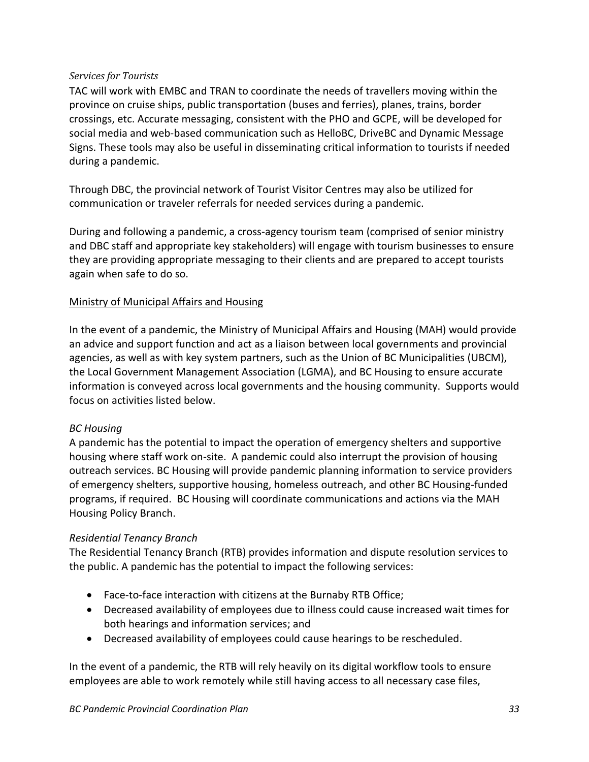#### *Services for Tourists*

TAC will work with EMBC and TRAN to coordinate the needs of travellers moving within the province on cruise ships, public transportation (buses and ferries), planes, trains, border crossings, etc. Accurate messaging, consistent with the PHO and GCPE, will be developed for social media and web-based communication such as HelloBC, DriveBC and Dynamic Message Signs. These tools may also be useful in disseminating critical information to tourists if needed during a pandemic.

Through DBC, the provincial network of Tourist Visitor Centres may also be utilized for communication or traveler referrals for needed services during a pandemic.

During and following a pandemic, a cross-agency tourism team (comprised of senior ministry and DBC staff and appropriate key stakeholders) will engage with tourism businesses to ensure they are providing appropriate messaging to their clients and are prepared to accept tourists again when safe to do so.

#### Ministry of Municipal Affairs and Housing

In the event of a pandemic, the Ministry of Municipal Affairs and Housing (MAH) would provide an advice and support function and act as a liaison between local governments and provincial agencies, as well as with key system partners, such as the Union of BC Municipalities (UBCM), the Local Government Management Association (LGMA), and BC Housing to ensure accurate information is conveyed across local governments and the housing community. Supports would focus on activities listed below.

#### *BC Housing*

A pandemic has the potential to impact the operation of emergency shelters and supportive housing where staff work on-site. A pandemic could also interrupt the provision of housing outreach services. BC Housing will provide pandemic planning information to service providers of emergency shelters, supportive housing, homeless outreach, and other BC Housing-funded programs, if required. BC Housing will coordinate communications and actions via the MAH Housing Policy Branch.

#### *Residential Tenancy Branch*

The Residential Tenancy Branch (RTB) provides information and dispute resolution services to the public. A pandemic has the potential to impact the following services:

- Face-to-face interaction with citizens at the Burnaby RTB Office;
- Decreased availability of employees due to illness could cause increased wait times for both hearings and information services; and
- Decreased availability of employees could cause hearings to be rescheduled.

In the event of a pandemic, the RTB will rely heavily on its digital workflow tools to ensure employees are able to work remotely while still having access to all necessary case files,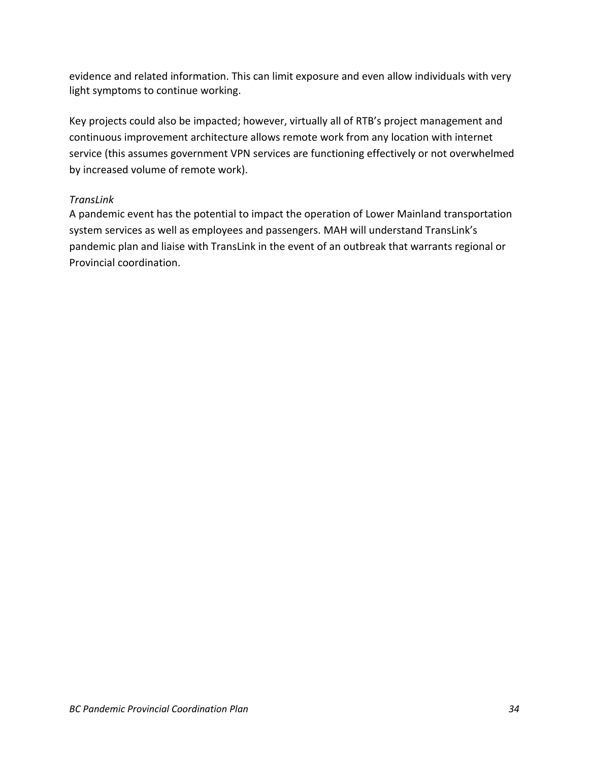evidence and related information. This can limit exposure and even allow individuals with very light symptoms to continue working.

Key projects could also be impacted; however, virtually all of RTB's project management and continuous improvement architecture allows remote work from any location with internet service (this assumes government VPN services are functioning effectively or not overwhelmed by increased volume of remote work).

#### *TransLink*

A pandemic event has the potential to impact the operation of Lower Mainland transportation system services as well as employees and passengers. MAH will understand TransLink's pandemic plan and liaise with TransLink in the event of an outbreak that warrants regional or Provincial coordination.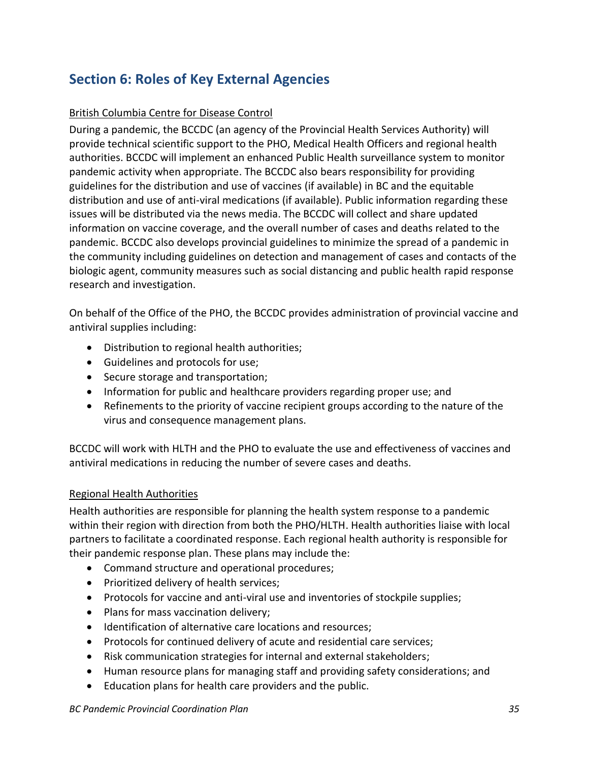## <span id="page-34-1"></span><span id="page-34-0"></span>**Section 6: Roles of Key External Agencies**

#### British Columbia Centre for Disease Control

During a pandemic, the BCCDC (an agency of the Provincial Health Services Authority) will provide technical scientific support to the PHO, Medical Health Officers and regional health authorities. BCCDC will implement an enhanced Public Health surveillance system to monitor pandemic activity when appropriate. The BCCDC also bears responsibility for providing guidelines for the distribution and use of vaccines (if available) in BC and the equitable distribution and use of anti-viral medications (if available). Public information regarding these issues will be distributed via the news media. The BCCDC will collect and share updated information on vaccine coverage, and the overall number of cases and deaths related to the pandemic. BCCDC also develops provincial guidelines to minimize the spread of a pandemic in the community including guidelines on detection and management of cases and contacts of the biologic agent, community measures such as social distancing and public health rapid response research and investigation.

On behalf of the Office of the PHO, the BCCDC provides administration of provincial vaccine and antiviral supplies including:

- Distribution to regional health authorities;
- Guidelines and protocols for use;
- Secure storage and transportation;
- Information for public and healthcare providers regarding proper use; and
- Refinements to the priority of vaccine recipient groups according to the nature of the virus and consequence management plans.

BCCDC will work with HLTH and the PHO to evaluate the use and effectiveness of vaccines and antiviral medications in reducing the number of severe cases and deaths.

#### <span id="page-34-2"></span>Regional Health Authorities

Health authorities are responsible for planning the health system response to a pandemic within their region with direction from both the PHO/HLTH. Health authorities liaise with local partners to facilitate a coordinated response. Each regional health authority is responsible for their pandemic response plan. These plans may include the:

- Command structure and operational procedures;
- Prioritized delivery of health services;
- Protocols for vaccine and anti-viral use and inventories of stockpile supplies;
- Plans for mass vaccination delivery;
- Identification of alternative care locations and resources;
- Protocols for continued delivery of acute and residential care services;
- Risk communication strategies for internal and external stakeholders;
- Human resource plans for managing staff and providing safety considerations; and
- Education plans for health care providers and the public.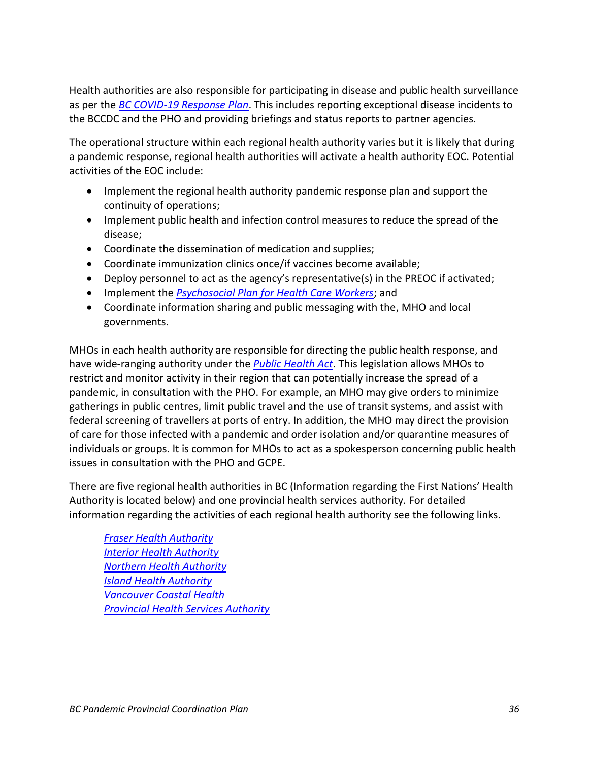Health authorities are also responsible for participating in disease and public health surveillance as per the *[BC COVID-19 Response Plan](https://www2.gov.bc.ca/gov/content/health/about-bc-s-health-care-system/office-of-the-provincial-health-officer/current-health-topics/pandemic-influenza)*. This includes reporting exceptional disease incidents to the BCCDC and the PHO and providing briefings and status reports to partner agencies.

The operational structure within each regional health authority varies but it is likely that during a pandemic response, regional health authorities will activate a health authority EOC. Potential activities of the EOC include:

- Implement the regional health authority pandemic response plan and support the continuity of operations;
- Implement public health and infection control measures to reduce the spread of the disease;
- Coordinate the dissemination of medication and supplies;
- Coordinate immunization clinics once/if vaccines become available;
- Deploy personnel to act as the agency's representative(s) in the PREOC if activated;
- Implement the *[Psychosocial Plan for Health Care Workers](https://www2.gov.bc.ca/assets/gov/health/about-bc-s-health-care-system/office-of-the-provincial-health-officer/reports-publications/bc-pandemic-influenza-psychosocial-support-plan-hcw-ps-2012.pdf)*; and
- Coordinate information sharing and public messaging with the, MHO and local governments.

MHOs in each health authority are responsible for directing the public health response, and have wide-ranging authority under the *[Public Health Act](http://www.bclaws.ca/EPLibraries/bclaws_new/document/ID/freeside/00_08028_01)*. This legislation allows MHOs to restrict and monitor activity in their region that can potentially increase the spread of a pandemic, in consultation with the PHO. For example, an MHO may give orders to minimize gatherings in public centres, limit public travel and the use of transit systems, and assist with federal screening of travellers at ports of entry. In addition, the MHO may direct the provision of care for those infected with a pandemic and order isolation and/or quarantine measures of individuals or groups. It is common for MHOs to act as a spokesperson concerning public health issues in consultation with the PHO and GCPE.

There are five regional health authorities in BC (Information regarding the First Nations' Health Authority is located below) and one provincial health services authority. For detailed information regarding the activities of each regional health authority see the following links.

*[Fraser Health Authority](http://www.fraserhealth.ca/) [Interior Health Authority](http://www.interiorhealth.ca/Pages/default.aspx) [Northern Health Authority](http://www.northernhealth.ca/) [Island Health Authority](https://www.islandhealth.ca/) [Vancouver Coastal Health](http://www.vch.ca/)  [Provincial Health Services Authority](http://www.phsa.ca/default.htm)*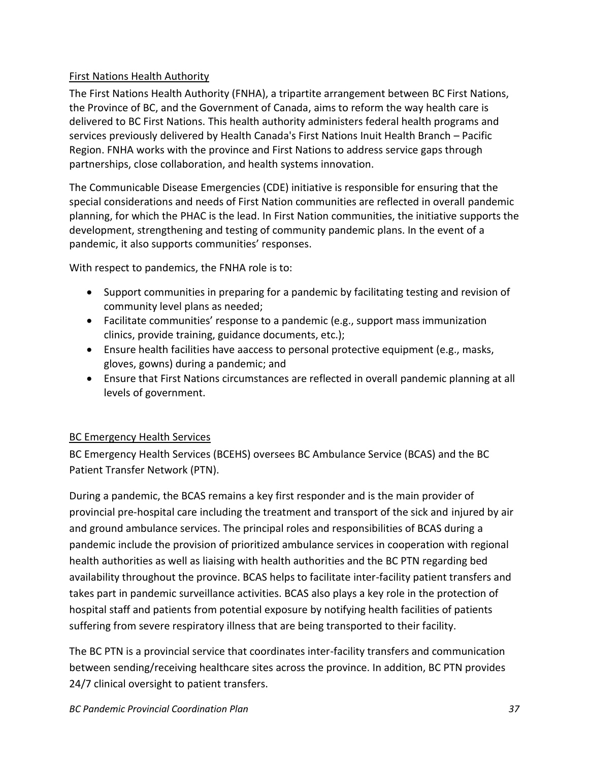#### <span id="page-36-0"></span>First Nations Health Authority

The First Nations Health Authority (FNHA), a tripartite arrangement between BC First Nations, the Province of BC, and the Government of Canada, aims to reform the way health care is delivered to BC First Nations. This health authority administers federal health programs and services previously delivered by Health Canada's First Nations Inuit Health Branch – Pacific Region. FNHA works with the province and First Nations to address service gaps through partnerships, close collaboration, and health systems innovation.

The Communicable Disease Emergencies (CDE) initiative is responsible for ensuring that the special considerations and needs of First Nation communities are reflected in overall pandemic planning, for which the PHAC is the lead. In First Nation communities, the initiative supports the development, strengthening and testing of community pandemic plans. In the event of a pandemic, it also supports communities' responses.

With respect to pandemics, the FNHA role is to:

- Support communities in preparing for a pandemic by facilitating testing and revision of community level plans as needed;
- Facilitate communities' response to a pandemic (e.g., support mass immunization clinics, provide training, guidance documents, etc.);
- Ensure health facilities have aaccess to personal protective equipment (e.g., masks, gloves, gowns) during a pandemic; and
- Ensure that First Nations circumstances are reflected in overall pandemic planning at all levels of government.

#### <span id="page-36-1"></span>BC Emergency Health Services

BC Emergency Health Services (BCEHS) oversees BC Ambulance Service (BCAS) and the BC Patient Transfer Network (PTN).

During a pandemic, the BCAS remains a key first responder and is the main provider of provincial pre-hospital care including the treatment and transport of the sick and injured by air and ground ambulance services. The principal roles and responsibilities of BCAS during a pandemic include the provision of prioritized ambulance services in cooperation with regional health authorities as well as liaising with health authorities and the BC PTN regarding bed availability throughout the province. BCAS helps to facilitate inter-facility patient transfers and takes part in pandemic surveillance activities. BCAS also plays a key role in the protection of hospital staff and patients from potential exposure by notifying health facilities of patients suffering from severe respiratory illness that are being transported to their facility.

The BC PTN is a provincial service that coordinates inter-facility transfers and communication between sending/receiving healthcare sites across the province. In addition, BC PTN provides 24/7 clinical oversight to patient transfers.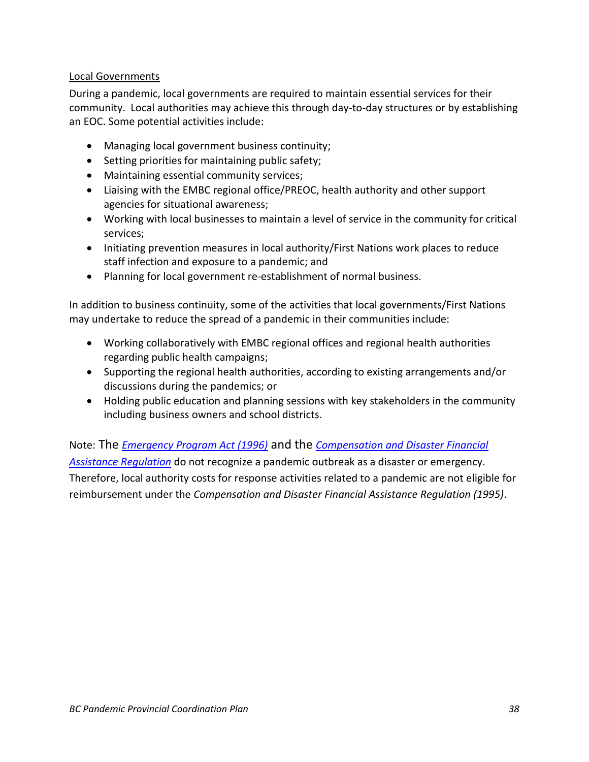#### <span id="page-37-0"></span>Local Governments

During a pandemic, local governments are required to maintain essential services for their community. Local authorities may achieve this through day-to-day structures or by establishing an EOC. Some potential activities include:

- Managing local government business continuity;
- Setting priorities for maintaining public safety;
- Maintaining essential community services;
- Liaising with the EMBC regional office/PREOC, health authority and other support agencies for situational awareness;
- Working with local businesses to maintain a level of service in the community for critical services;
- Initiating prevention measures in local authority/First Nations work places to reduce staff infection and exposure to a pandemic; and
- Planning for local government re-establishment of normal business.

In addition to business continuity, some of the activities that local governments/First Nations may undertake to reduce the spread of a pandemic in their communities include:

- Working collaboratively with EMBC regional offices and regional health authorities regarding public health campaigns;
- Supporting the regional health authorities, according to existing arrangements and/or discussions during the pandemics; or
- Holding public education and planning sessions with key stakeholders in the community including business owners and school districts.

Note: The *[Emergency Program Act \(1996\)](http://www.bclaws.ca/Recon/document/freeside/--%20E%20--/Emergency%20Program%20Act%20%20RSBC%201996%20%20c.%20111/00_96111_01.xml)* and the *[Compensation and Disaster Financial](http://www.bclaws.ca/Recon/document/freeside/--%20E%20--/Emergency%20Program%20Act%20%20RSBC%201996%20%20c.%20111/05_Regulations/10_124_95.xml)  [Assistance Regulation](http://www.bclaws.ca/Recon/document/freeside/--%20E%20--/Emergency%20Program%20Act%20%20RSBC%201996%20%20c.%20111/05_Regulations/10_124_95.xml)* do not recognize a pandemic outbreak as a disaster or emergency. Therefore, local authority costs for response activities related to a pandemic are not eligible for reimbursement under the *Compensation and Disaster Financial Assistance Regulation (1995)*.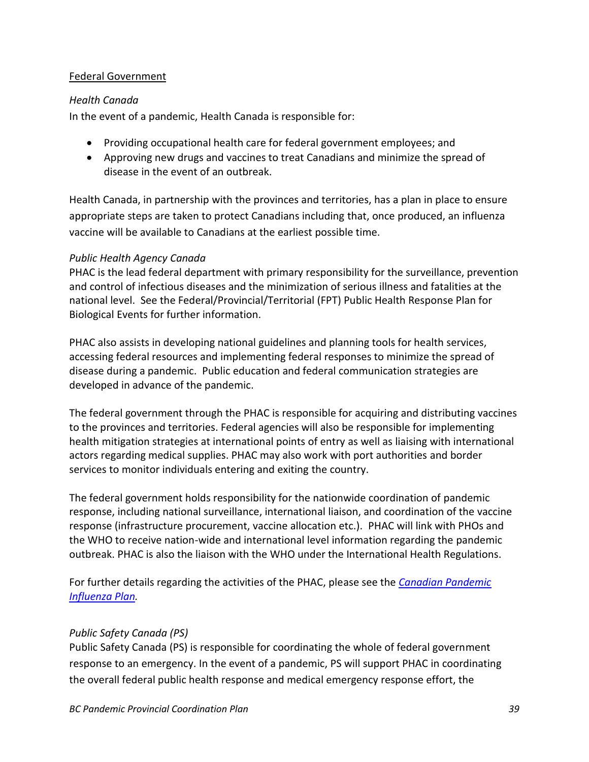#### <span id="page-38-0"></span>Federal Government

#### <span id="page-38-1"></span>*Health Canada*

In the event of a pandemic, Health Canada is responsible for:

- Providing occupational health care for federal government employees; and
- Approving new drugs and vaccines to treat Canadians and minimize the spread of disease in the event of an outbreak.

Health Canada, in partnership with the provinces and territories, has a plan in place to ensure appropriate steps are taken to protect Canadians including that, once produced, an influenza vaccine will be available to Canadians at the earliest possible time.

#### <span id="page-38-2"></span>*Public Health Agency Canada*

PHAC is the lead federal department with primary responsibility for the surveillance, prevention and control of infectious diseases and the minimization of serious illness and fatalities at the national level. See the Federal/Provincial/Territorial (FPT) Public Health Response Plan for Biological Events for further information.

PHAC also assists in developing national guidelines and planning tools for health services, accessing federal resources and implementing federal responses to minimize the spread of disease during a pandemic. Public education and federal communication strategies are developed in advance of the pandemic.

The federal government through the PHAC is responsible for acquiring and distributing vaccines to the provinces and territories. Federal agencies will also be responsible for implementing health mitigation strategies at international points of entry as well as liaising with international actors regarding medical supplies. PHAC may also work with port authorities and border services to monitor individuals entering and exiting the country.

The federal government holds responsibility for the nationwide coordination of pandemic response, including national surveillance, international liaison, and coordination of the vaccine response (infrastructure procurement, vaccine allocation etc.). PHAC will link with PHOs and the WHO to receive nation-wide and international level information regarding the pandemic outbreak. PHAC is also the liaison with the WHO under the International Health Regulations.

For further details regarding the activities of the PHAC, please see the *[Canadian Pandemic](http://www.phac-aspc.gc.ca/cpip-pclcpi/index-eng.php)  [Influenza Plan.](http://www.phac-aspc.gc.ca/cpip-pclcpi/index-eng.php)*

#### <span id="page-38-3"></span>*Public Safety Canada (PS)*

Public Safety Canada (PS) is responsible for coordinating the whole of federal government response to an emergency. In the event of a pandemic, PS will support PHAC in coordinating the overall federal public health response and medical emergency response effort, the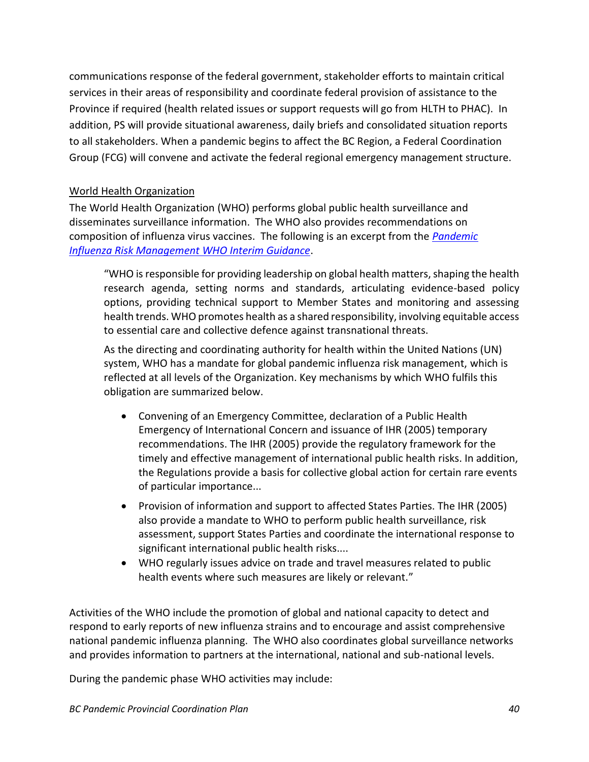communications response of the federal government, stakeholder efforts to maintain critical services in their areas of responsibility and coordinate federal provision of assistance to the Province if required (health related issues or support requests will go from HLTH to PHAC). In addition, PS will provide situational awareness, daily briefs and consolidated situation reports to all stakeholders. When a pandemic begins to affect the BC Region, a Federal Coordination Group (FCG) will convene and activate the federal regional emergency management structure.

#### <span id="page-39-0"></span>World Health Organization

The World Health Organization (WHO) performs global public health surveillance and disseminates surveillance information. The WHO also provides recommendations on composition of influenza virus vaccines. The following is an excerpt from the *[Pandemic](http://www.who.int/influenza/preparedness/pandemic/GIP_PandemicInfluenzaRiskManagementInterimGuidance_Jun2013.pdf?ua=1)  [Influenza Risk Management WHO Interim Guidance](http://www.who.int/influenza/preparedness/pandemic/GIP_PandemicInfluenzaRiskManagementInterimGuidance_Jun2013.pdf?ua=1)*.

"WHO is responsible for providing leadership on global health matters, shaping the health research agenda, setting norms and standards, articulating evidence-based policy options, providing technical support to Member States and monitoring and assessing health trends. WHO promotes health as a shared responsibility, involving equitable access to essential care and collective defence against transnational threats.

As the directing and coordinating authority for health within the United Nations (UN) system, WHO has a mandate for global pandemic influenza risk management, which is reflected at all levels of the Organization. Key mechanisms by which WHO fulfils this obligation are summarized below.

- Convening of an Emergency Committee, declaration of a Public Health Emergency of International Concern and issuance of IHR (2005) temporary recommendations. The IHR (2005) provide the regulatory framework for the timely and effective management of international public health risks. In addition, the Regulations provide a basis for collective global action for certain rare events of particular importance...
- Provision of information and support to affected States Parties. The IHR (2005) also provide a mandate to WHO to perform public health surveillance, risk assessment, support States Parties and coordinate the international response to significant international public health risks....
- WHO regularly issues advice on trade and travel measures related to public health events where such measures are likely or relevant."

Activities of the WHO include the promotion of global and national capacity to detect and respond to early reports of new influenza strains and to encourage and assist comprehensive national pandemic influenza planning. The WHO also coordinates global surveillance networks and provides information to partners at the international, national and sub-national levels.

During the pandemic phase WHO activities may include: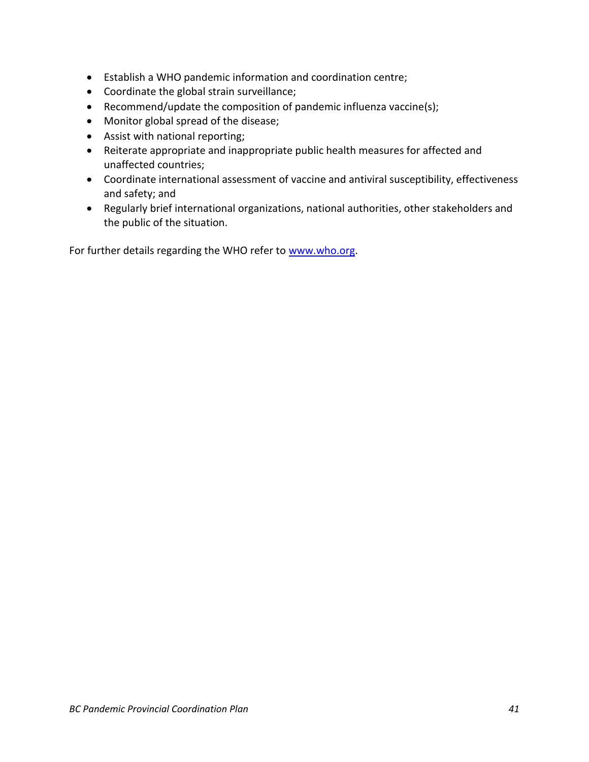- Establish a WHO pandemic information and coordination centre;
- Coordinate the global strain surveillance;
- Recommend/update the composition of pandemic influenza vaccine(s);
- Monitor global spread of the disease;
- Assist with national reporting;
- Reiterate appropriate and inappropriate public health measures for affected and unaffected countries;
- Coordinate international assessment of vaccine and antiviral susceptibility, effectiveness and safety; and
- Regularly brief international organizations, national authorities, other stakeholders and the public of the situation.

For further details regarding the WHO refer to [www.who.org.](http://www.who.org/)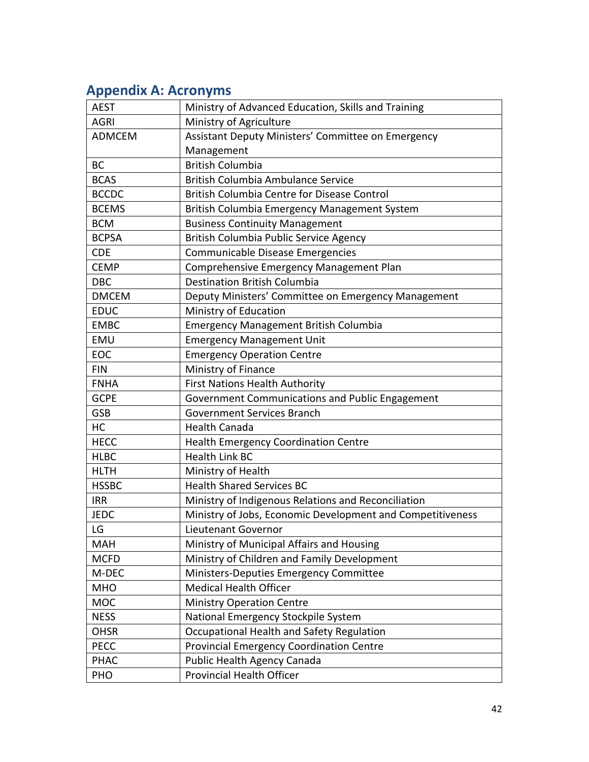## <span id="page-41-0"></span>**Appendix A: Acronyms**

| <b>AEST</b>   | Ministry of Advanced Education, Skills and Training        |
|---------------|------------------------------------------------------------|
| <b>AGRI</b>   | Ministry of Agriculture                                    |
| <b>ADMCEM</b> | Assistant Deputy Ministers' Committee on Emergency         |
|               | Management                                                 |
| <b>BC</b>     | <b>British Columbia</b>                                    |
| <b>BCAS</b>   | British Columbia Ambulance Service                         |
| <b>BCCDC</b>  | British Columbia Centre for Disease Control                |
| <b>BCEMS</b>  | British Columbia Emergency Management System               |
| <b>BCM</b>    | <b>Business Continuity Management</b>                      |
| <b>BCPSA</b>  | British Columbia Public Service Agency                     |
| <b>CDE</b>    | Communicable Disease Emergencies                           |
| <b>CEMP</b>   | Comprehensive Emergency Management Plan                    |
| <b>DBC</b>    | <b>Destination British Columbia</b>                        |
| <b>DMCEM</b>  | Deputy Ministers' Committee on Emergency Management        |
| <b>EDUC</b>   | Ministry of Education                                      |
| <b>EMBC</b>   | <b>Emergency Management British Columbia</b>               |
| EMU           | <b>Emergency Management Unit</b>                           |
| EOC           | <b>Emergency Operation Centre</b>                          |
| <b>FIN</b>    | Ministry of Finance                                        |
| <b>FNHA</b>   | First Nations Health Authority                             |
| <b>GCPE</b>   | Government Communications and Public Engagement            |
| <b>GSB</b>    | <b>Government Services Branch</b>                          |
| HC            | <b>Health Canada</b>                                       |
| <b>HECC</b>   | Health Emergency Coordination Centre                       |
| <b>HLBC</b>   | <b>Health Link BC</b>                                      |
| <b>HLTH</b>   | Ministry of Health                                         |
| <b>HSSBC</b>  | <b>Health Shared Services BC</b>                           |
| <b>IRR</b>    | Ministry of Indigenous Relations and Reconciliation        |
| <b>JEDC</b>   | Ministry of Jobs, Economic Development and Competitiveness |
| LG            | Lieutenant Governor                                        |
| <b>MAH</b>    | Ministry of Municipal Affairs and Housing                  |
| <b>MCFD</b>   | Ministry of Children and Family Development                |
| M-DEC         | Ministers-Deputies Emergency Committee                     |
| <b>MHO</b>    | <b>Medical Health Officer</b>                              |
| <b>MOC</b>    | <b>Ministry Operation Centre</b>                           |
| <b>NESS</b>   | National Emergency Stockpile System                        |
| <b>OHSR</b>   | Occupational Health and Safety Regulation                  |
| <b>PECC</b>   | <b>Provincial Emergency Coordination Centre</b>            |
| <b>PHAC</b>   | Public Health Agency Canada                                |
| PHO           | Provincial Health Officer                                  |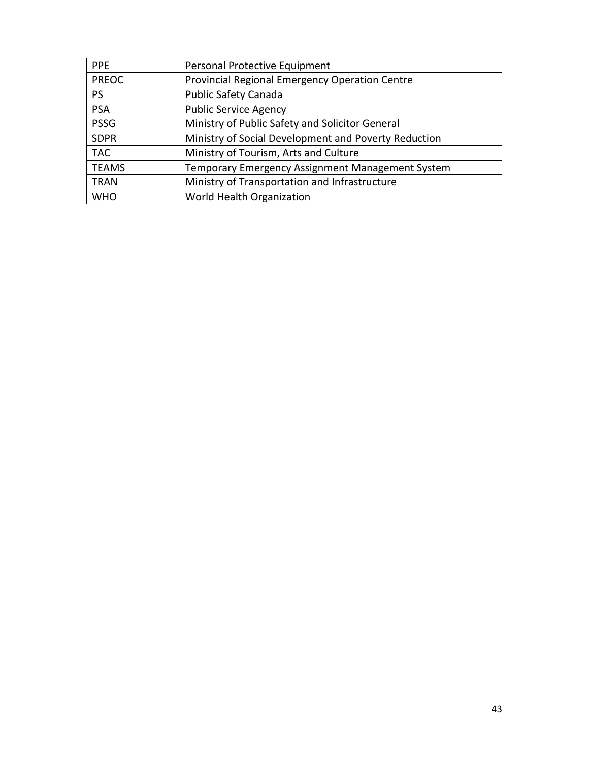| <b>PPE</b>   | Personal Protective Equipment                        |
|--------------|------------------------------------------------------|
| <b>PREOC</b> | Provincial Regional Emergency Operation Centre       |
| <b>PS</b>    | <b>Public Safety Canada</b>                          |
| <b>PSA</b>   | <b>Public Service Agency</b>                         |
| <b>PSSG</b>  | Ministry of Public Safety and Solicitor General      |
| <b>SDPR</b>  | Ministry of Social Development and Poverty Reduction |
| <b>TAC</b>   | Ministry of Tourism, Arts and Culture                |
| <b>TEAMS</b> | Temporary Emergency Assignment Management System     |
| TRAN         | Ministry of Transportation and Infrastructure        |
| <b>WHO</b>   | World Health Organization                            |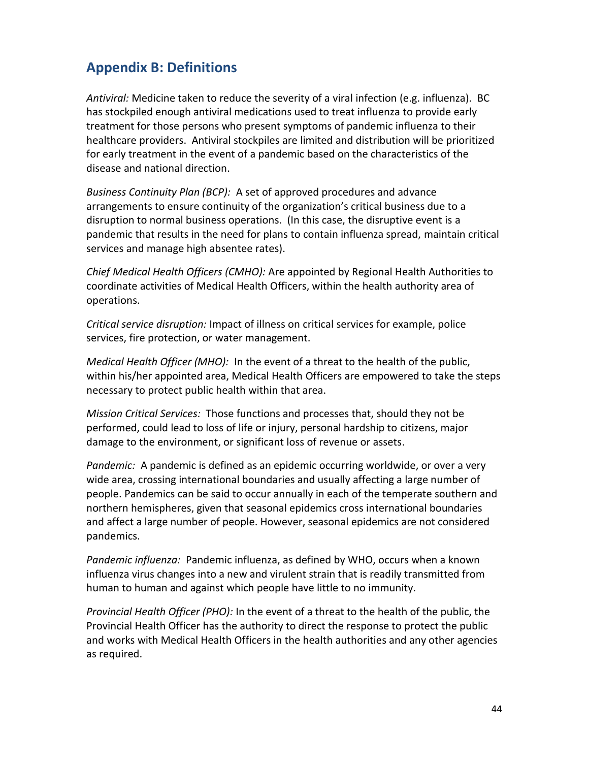## <span id="page-43-0"></span>**Appendix B: Definitions**

*Antiviral:* Medicine taken to reduce the severity of a viral infection (e.g. influenza). BC has stockpiled enough antiviral medications used to treat influenza to provide early treatment for those persons who present symptoms of pandemic influenza to their healthcare providers. Antiviral stockpiles are limited and distribution will be prioritized for early treatment in the event of a pandemic based on the characteristics of the disease and national direction.

*Business Continuity Plan (BCP):* A set of approved procedures and advance arrangements to ensure continuity of the organization's critical business due to a disruption to normal business operations. (In this case, the disruptive event is a pandemic that results in the need for plans to contain influenza spread, maintain critical services and manage high absentee rates).

*Chief Medical Health Officers (CMHO):* Are appointed by Regional Health Authorities to coordinate activities of Medical Health Officers, within the health authority area of operations.

*Critical service disruption:* Impact of illness on critical services for example, police services, fire protection, or water management.

*Medical Health Officer (MHO):* In the event of a threat to the health of the public, within his/her appointed area, Medical Health Officers are empowered to take the steps necessary to protect public health within that area.

*Mission Critical Services:* Those functions and processes that, should they not be performed, could lead to loss of life or injury, personal hardship to citizens, major damage to the environment, or significant loss of revenue or assets.

*Pandemic:* A pandemic is defined as an epidemic occurring worldwide, or over a very wide area, crossing international boundaries and usually affecting a large number of people. Pandemics can be said to occur annually in each of the temperate southern and northern hemispheres, given that seasonal epidemics cross international boundaries and affect a large number of people. However, seasonal epidemics are not considered pandemics.

*Pandemic influenza:* Pandemic influenza, as defined by WHO, occurs when a known influenza virus changes into a new and virulent strain that is readily transmitted from human to human and against which people have little to no immunity.

*Provincial Health Officer (PHO):* In the event of a threat to the health of the public, the Provincial Health Officer has the authority to direct the response to protect the public and works with Medical Health Officers in the health authorities and any other agencies as required.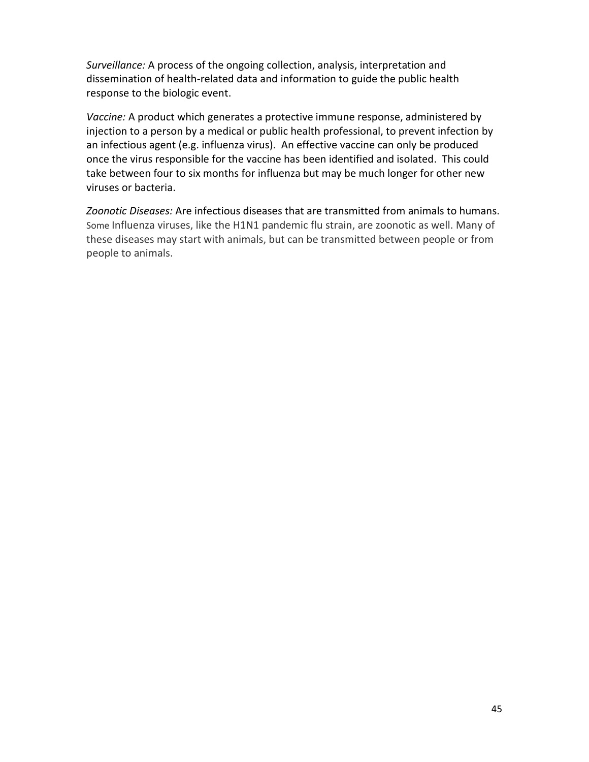*Surveillance:* A process of the ongoing collection, analysis, interpretation and dissemination of health-related data and information to guide the public health response to the biologic event.

*Vaccine:* A product which generates a protective immune response, administered by injection to a person by a medical or public health professional, to prevent infection by an infectious agent (e.g. influenza virus). An effective vaccine can only be produced once the virus responsible for the vaccine has been identified and isolated. This could take between four to six months for influenza but may be much longer for other new viruses or bacteria.

*Zoonotic Diseases:* Are infectious diseases that are transmitted from animals to humans. Some Influenza viruses, like the H1N1 pandemic flu strain, are zoonotic as well. Many of these diseases may start with animals, but can be transmitted between people or from people to animals.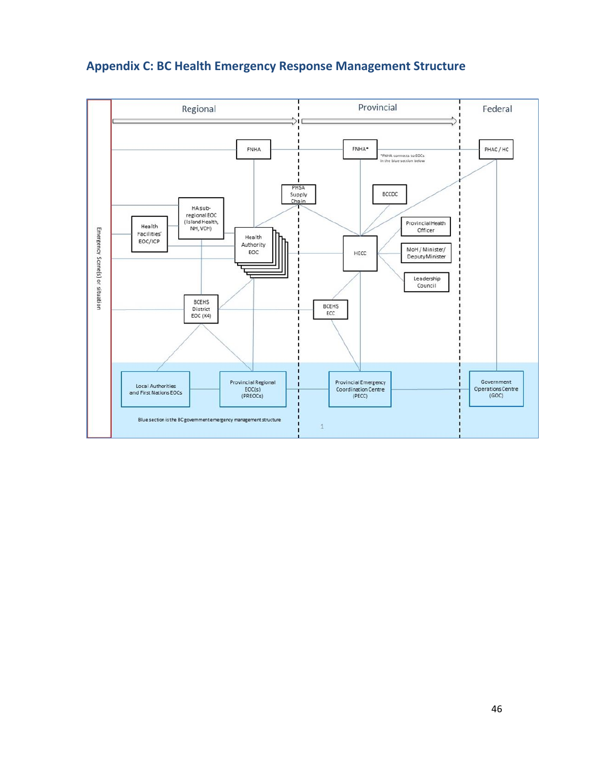

## <span id="page-45-0"></span>**Appendix C: BC Health Emergency Response Management Structure**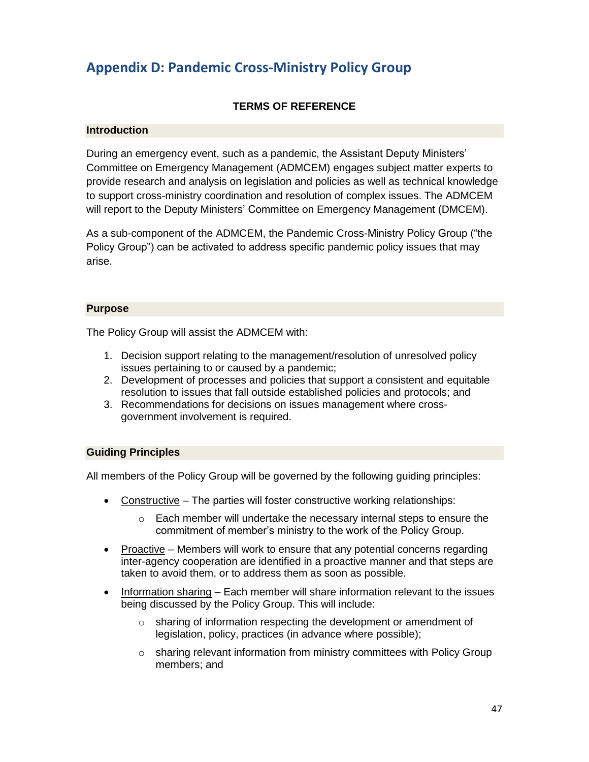## <span id="page-46-0"></span>**Appendix D: Pandemic Cross-Ministry Policy Group**

#### **TERMS OF REFERENCE**

#### **Introduction**

During an emergency event, such as a pandemic, the Assistant Deputy Ministers' Committee on Emergency Management (ADMCEM) engages subject matter experts to provide research and analysis on legislation and policies as well as technical knowledge to support cross-ministry coordination and resolution of complex issues. The ADMCEM will report to the Deputy Ministers' Committee on Emergency Management (DMCEM).

As a sub-component of the ADMCEM, the Pandemic Cross-Ministry Policy Group ("the Policy Group") can be activated to address specific pandemic policy issues that may arise.

#### **Purpose**

The Policy Group will assist the ADMCEM with:

- 1. Decision support relating to the management/resolution of unresolved policy issues pertaining to or caused by a pandemic;
- 2. Development of processes and policies that support a consistent and equitable resolution to issues that fall outside established policies and protocols; and
- 3. Recommendations for decisions on issues management where crossgovernment involvement is required.

#### **Guiding Principles**

All members of the Policy Group will be governed by the following guiding principles:

- Constructive The parties will foster constructive working relationships:
	- o Each member will undertake the necessary internal steps to ensure the commitment of member's ministry to the work of the Policy Group.
- Proactive Members will work to ensure that any potential concerns regarding inter-agency cooperation are identified in a proactive manner and that steps are taken to avoid them, or to address them as soon as possible.
- Information sharing Each member will share information relevant to the issues being discussed by the Policy Group. This will include:
	- $\circ$  sharing of information respecting the development or amendment of legislation, policy, practices (in advance where possible);
	- $\circ$  sharing relevant information from ministry committees with Policy Group members; and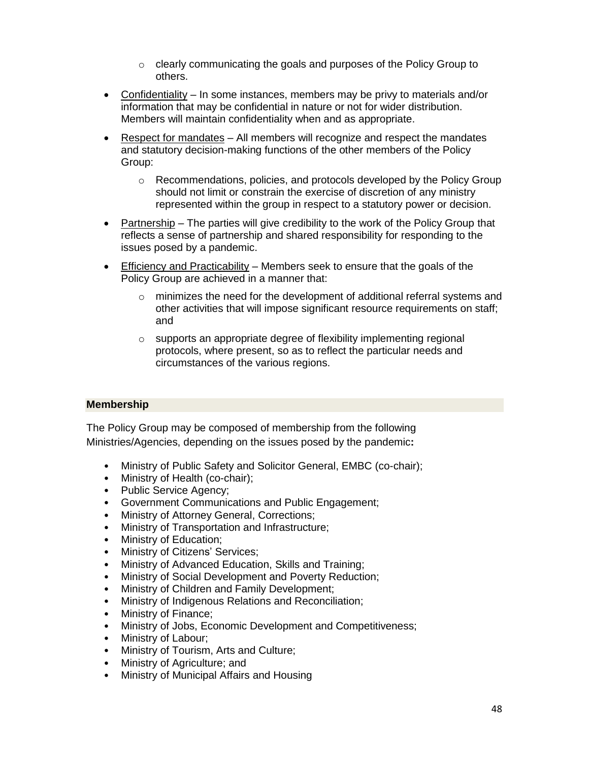- o clearly communicating the goals and purposes of the Policy Group to others.
- Confidentiality In some instances, members may be privy to materials and/or information that may be confidential in nature or not for wider distribution. Members will maintain confidentiality when and as appropriate.
- Respect for mandates All members will recognize and respect the mandates and statutory decision-making functions of the other members of the Policy Group:
	- o Recommendations, policies, and protocols developed by the Policy Group should not limit or constrain the exercise of discretion of any ministry represented within the group in respect to a statutory power or decision.
- Partnership The parties will give credibility to the work of the Policy Group that reflects a sense of partnership and shared responsibility for responding to the issues posed by a pandemic.
- Efficiency and Practicability Members seek to ensure that the goals of the Policy Group are achieved in a manner that:
	- $\circ$  minimizes the need for the development of additional referral systems and other activities that will impose significant resource requirements on staff; and
	- o supports an appropriate degree of flexibility implementing regional protocols, where present, so as to reflect the particular needs and circumstances of the various regions.

#### **Membership**

The Policy Group may be composed of membership from the following Ministries/Agencies, depending on the issues posed by the pandemic**:**

- Ministry of Public Safety and Solicitor General, EMBC (co-chair);
- Ministry of Health (co-chair);
- Public Service Agency;
- Government Communications and Public Engagement;
- Ministry of Attorney General, Corrections;
- Ministry of Transportation and Infrastructure;
- Ministry of Education;
- Ministry of Citizens' Services;
- Ministry of Advanced Education, Skills and Training;
- Ministry of Social Development and Poverty Reduction;
- Ministry of Children and Family Development;
- Ministry of Indigenous Relations and Reconciliation;
- Ministry of Finance;
- Ministry of Jobs, Economic Development and Competitiveness;
- Ministry of Labour;
- Ministry of Tourism, Arts and Culture;
- Ministry of Agriculture; and
- Ministry of Municipal Affairs and Housing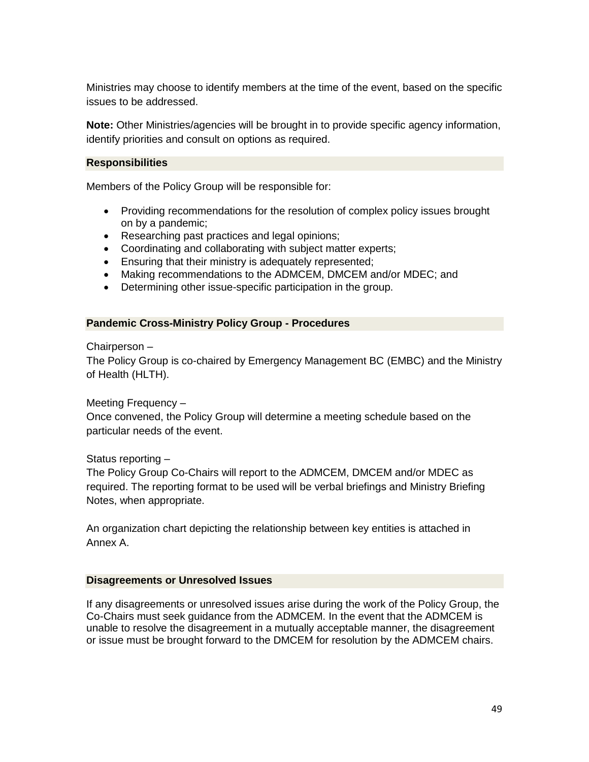Ministries may choose to identify members at the time of the event, based on the specific issues to be addressed.

**Note:** Other Ministries/agencies will be brought in to provide specific agency information, identify priorities and consult on options as required.

#### **Responsibilities**

Members of the Policy Group will be responsible for:

- Providing recommendations for the resolution of complex policy issues brought on by a pandemic;
- Researching past practices and legal opinions;
- Coordinating and collaborating with subject matter experts;
- Ensuring that their ministry is adequately represented;
- Making recommendations to the ADMCEM, DMCEM and/or MDEC; and
- Determining other issue-specific participation in the group.

#### **Pandemic Cross-Ministry Policy Group - Procedures**

Chairperson –

The Policy Group is co-chaired by Emergency Management BC (EMBC) and the Ministry of Health (HLTH).

#### Meeting Frequency –

Once convened, the Policy Group will determine a meeting schedule based on the particular needs of the event.

#### Status reporting –

The Policy Group Co-Chairs will report to the ADMCEM, DMCEM and/or MDEC as required. The reporting format to be used will be verbal briefings and Ministry Briefing Notes, when appropriate.

An organization chart depicting the relationship between key entities is attached in Annex A.

#### **Disagreements or Unresolved Issues**

If any disagreements or unresolved issues arise during the work of the Policy Group, the Co-Chairs must seek guidance from the ADMCEM. In the event that the ADMCEM is unable to resolve the disagreement in a mutually acceptable manner, the disagreement or issue must be brought forward to the DMCEM for resolution by the ADMCEM chairs.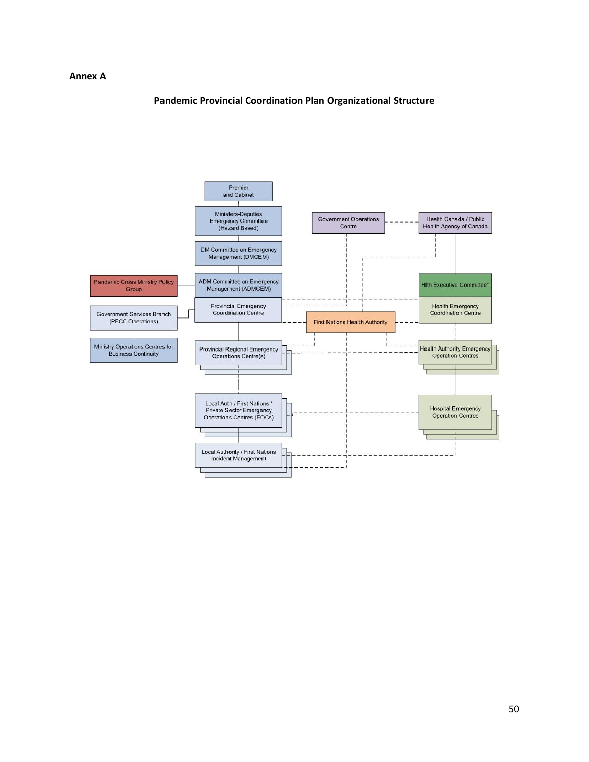#### **Annex A**

#### **Pandemic Provincial Coordination Plan Organizational Structure**

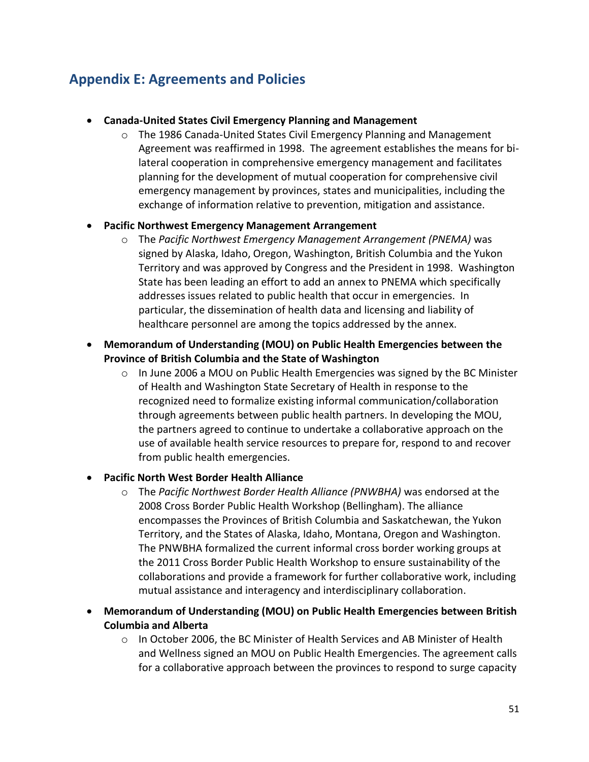## <span id="page-50-0"></span>**Appendix E: Agreements and Policies**

#### • **Canada-United States Civil Emergency Planning and Management**

 $\circ$  The 1986 Canada-United States Civil Emergency Planning and Management Agreement was reaffirmed in 1998. The agreement establishes the means for bilateral cooperation in comprehensive emergency management and facilitates planning for the development of mutual cooperation for comprehensive civil emergency management by provinces, states and municipalities, including the exchange of information relative to prevention, mitigation and assistance.

#### • **Pacific Northwest Emergency Management Arrangement**

- o The *Pacific Northwest Emergency Management Arrangement (PNEMA)* was signed by Alaska, Idaho, Oregon, Washington, British Columbia and the Yukon Territory and was approved by Congress and the President in 1998. Washington State has been leading an effort to add an annex to PNEMA which specifically addresses issues related to public health that occur in emergencies. In particular, the dissemination of health data and licensing and liability of healthcare personnel are among the topics addressed by the annex.
- **Memorandum of Understanding (MOU) on Public Health Emergencies between the Province of British Columbia and the State of Washington**
	- $\circ$  In June 2006 a MOU on Public Health Emergencies was signed by the BC Minister of Health and Washington State Secretary of Health in response to the recognized need to formalize existing informal communication/collaboration through agreements between public health partners. In developing the MOU, the partners agreed to continue to undertake a collaborative approach on the use of available health service resources to prepare for, respond to and recover from public health emergencies.

#### • **Pacific North West Border Health Alliance**

- o The *Pacific Northwest Border Health Alliance (PNWBHA)* was endorsed at the 2008 Cross Border Public Health Workshop (Bellingham). The alliance encompasses the Provinces of British Columbia and Saskatchewan, the Yukon Territory, and the States of Alaska, Idaho, Montana, Oregon and Washington. The PNWBHA formalized the current informal cross border working groups at the 2011 Cross Border Public Health Workshop to ensure sustainability of the collaborations and provide a framework for further collaborative work, including mutual assistance and interagency and interdisciplinary collaboration.
- **Memorandum of Understanding (MOU) on Public Health Emergencies between British Columbia and Alberta**
	- $\circ$  In October 2006, the BC Minister of Health Services and AB Minister of Health and Wellness signed an MOU on Public Health Emergencies. The agreement calls for a collaborative approach between the provinces to respond to surge capacity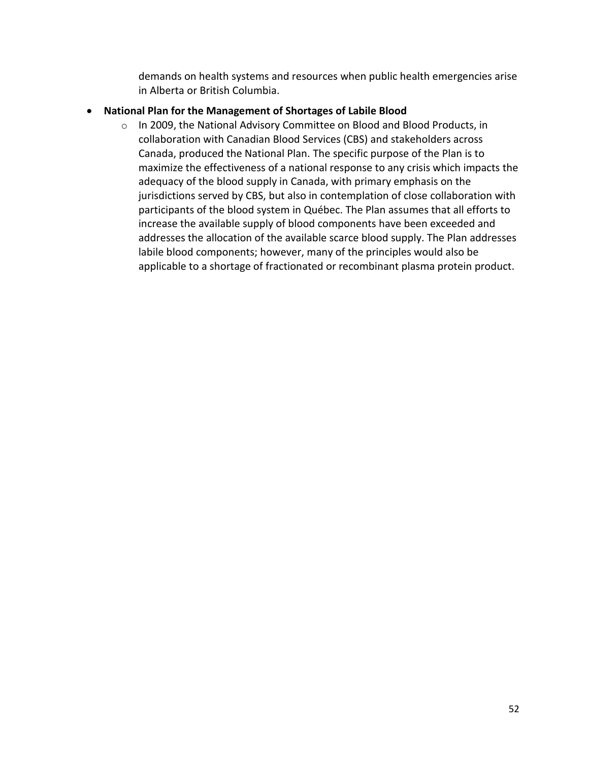demands on health systems and resources when public health emergencies arise in Alberta or British Columbia.

#### • **National Plan for the Management of Shortages of Labile Blood**

o In 2009, the National Advisory Committee on Blood and Blood Products, in collaboration with Canadian Blood Services (CBS) and stakeholders across Canada, produced the National Plan. The specific purpose of the Plan is to maximize the effectiveness of a national response to any crisis which impacts the adequacy of the blood supply in Canada, with primary emphasis on the jurisdictions served by CBS, but also in contemplation of close collaboration with participants of the blood system in Québec. The Plan assumes that all efforts to increase the available supply of blood components have been exceeded and addresses the allocation of the available scarce blood supply. The Plan addresses labile blood components; however, many of the principles would also be applicable to a shortage of fractionated or recombinant plasma protein product.